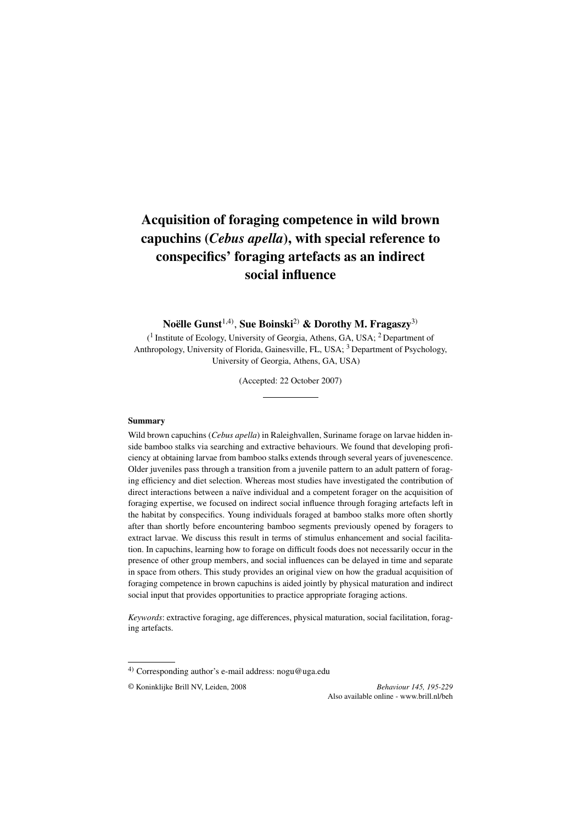# Acquisition of foraging competence in wild brown capuchins (*Cebus apella*), with special reference to conspecifics' foraging artefacts as an indirect social influence

Noëlle Gunst<sup>1,4)</sup>, Sue Boinski<sup>2)</sup> & Dorothy M. Fragaszy<sup>3)</sup>

(<sup>1</sup> Institute of Ecology, University of Georgia, Athens, GA, USA; <sup>2</sup> Department of Anthropology, University of Florida, Gainesville, FL, USA; <sup>3</sup> Department of Psychology, University of Georgia, Athens, GA, USA)

(Accepted: 22 October 2007)

## **Summary**

Wild brown capuchins (Cebus apella) in Raleighvallen, Suriname forage on larvae hidden inside bamboo stalks via searching and extractive behaviours. We found that developing proficiency at obtaining larvae from bamboo stalks extends through several years of juvenescence. Older juveniles pass through a transition from a juvenile pattern to an adult pattern of foraging efficiency and diet selection. Whereas most studies have investigated the contribution of direct interactions between a naïve individual and a competent forager on the acquisition of foraging expertise, we focused on indirect social influence through foraging artefacts left in the habitat by conspecifics. Young individuals foraged at bamboo stalks more often shortly after than shortly before encountering bamboo segments previously opened by foragers to extract larvae. We discuss this result in terms of stimulus enhancement and social facilitation. In capuchins, learning how to forage on difficult foods does not necessarily occur in the presence of other group members, and social influences can be delayed in time and separate in space from others. This study provides an original view on how the gradual acquisition of foraging competence in brown capuchins is aided jointly by physical maturation and indirect social input that provides opportunities to practice appropriate foraging actions.

Keywords: extractive foraging, age differences, physical maturation, social facilitation, foraging artefacts.

Behaviour 145, 195-229 Also available online - www.brill.nl/beh

<sup>&</sup>lt;sup>4)</sup> Corresponding author's e-mail address: nogu@uga.edu

<sup>©</sup> Koninklijke Brill NV, Leiden, 2008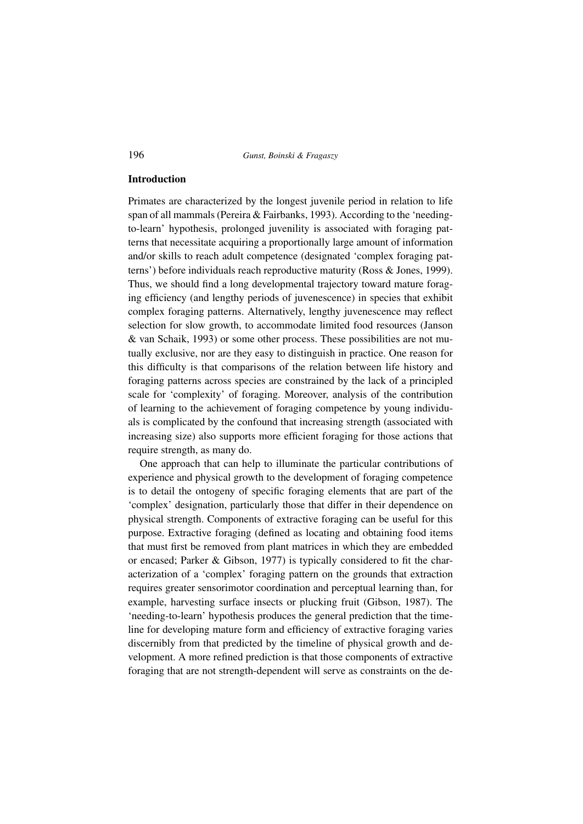## **Introduction**

Primates are characterized by the longest juvenile period in relation to life span of all mammals (Pereira & Fairbanks, 1993). According to the 'needingto-learn' hypothesis, prolonged juvenility is associated with foraging patterns that necessitate acquiring a proportionally large amount of information and/or skills to reach adult competence (designated 'complex foraging patterns') before individuals reach reproductive maturity (Ross & Jones, 1999). Thus, we should find a long developmental trajectory toward mature foraging efficiency (and lengthy periods of juvenescence) in species that exhibit complex foraging patterns. Alternatively, lengthy juvenescence may reflect selection for slow growth, to accommodate limited food resources (Janson & van Schaik, 1993) or some other process. These possibilities are not mutually exclusive, nor are they easy to distinguish in practice. One reason for this difficulty is that comparisons of the relation between life history and foraging patterns across species are constrained by the lack of a principled scale for 'complexity' of foraging. Moreover, analysis of the contribution of learning to the achievement of foraging competence by young individuals is complicated by the confound that increasing strength (associated with increasing size) also supports more efficient foraging for those actions that require strength, as many do.

One approach that can help to illuminate the particular contributions of experience and physical growth to the development of foraging competence is to detail the ontogeny of specific foraging elements that are part of the 'complex' designation, particularly those that differ in their dependence on physical strength. Components of extractive foraging can be useful for this purpose. Extractive foraging (defined as locating and obtaining food items that must first be removed from plant matrices in which they are embedded or encased; Parker & Gibson, 1977) is typically considered to fit the characterization of a 'complex' foraging pattern on the grounds that extraction requires greater sensorimotor coordination and perceptual learning than, for example, harvesting surface insects or plucking fruit (Gibson, 1987). The 'needing-to-learn' hypothesis produces the general prediction that the timeline for developing mature form and efficiency of extractive foraging varies discernibly from that predicted by the timeline of physical growth and development. A more refined prediction is that those components of extractive foraging that are not strength-dependent will serve as constraints on the de-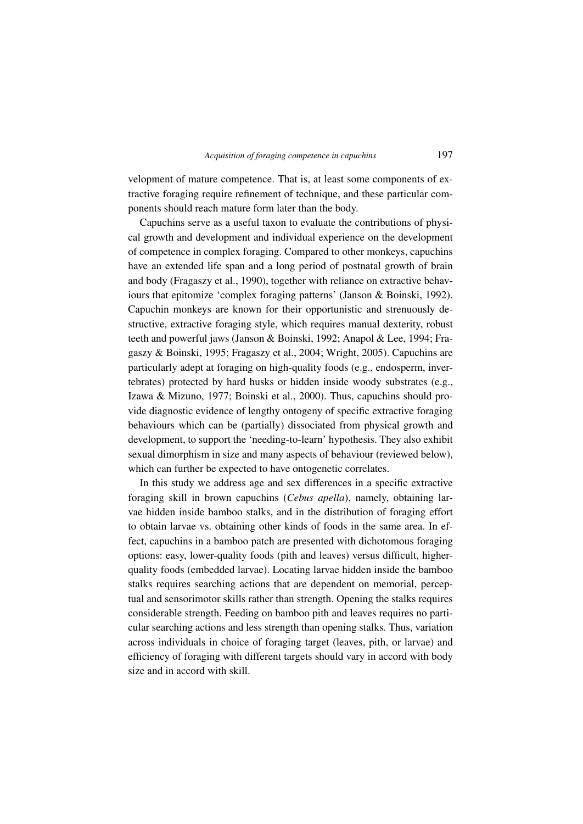velopment of mature competence. That is, at least some components of extractive foraging require refinement of technique, and these particular components should reach mature form later than the body.

Capuchins serve as a useful taxon to evaluate the contributions of physical growth and development and individual experience on the development of competence in complex foraging. Compared to other monkeys, capuchins have an extended life span and a long period of postnatal growth of brain and body (Fragaszy et al., 1990), together with reliance on extractive behaviours that epitomize 'complex foraging patterns' (Janson & Boinski, 1992). Capuchin monkeys are known for their opportunistic and strenuously destructive, extractive foraging style, which requires manual dexterity, robust teeth and powerful jaws (Janson & Boinski, 1992; Anapol & Lee, 1994; Fragaszy & Boinski, 1995; Fragaszy et al., 2004; Wright, 2005). Capuchins are particularly adept at foraging on high-quality foods (e.g., endosperm, invertebrates) protected by hard husks or hidden inside woody substrates (e.g., Izawa & Mizuno, 1977; Boinski et al., 2000). Thus, capuchins should provide diagnostic evidence of lengthy ontogeny of specific extractive foraging behaviours which can be (partially) dissociated from physical growth and development, to support the 'needing-to-learn' hypothesis. They also exhibit sexual dimorphism in size and many aspects of behaviour (reviewed below), which can further be expected to have ontogenetic correlates.

In this study we address age and sex differences in a specific extractive foraging skill in brown capuchins (Cebus apella), namely, obtaining larvae hidden inside bamboo stalks, and in the distribution of foraging effort to obtain larvae vs. obtaining other kinds of foods in the same area. In effect, capuchins in a bamboo patch are presented with dichotomous foraging options: easy, lower-quality foods (pith and leaves) versus difficult, higherquality foods (embedded larvae). Locating larvae hidden inside the bamboo stalks requires searching actions that are dependent on memorial, perceptual and sensorimotor skills rather than strength. Opening the stalks requires considerable strength. Feeding on bamboo pith and leaves requires no particular searching actions and less strength than opening stalks. Thus, variation across individuals in choice of foraging target (leaves, pith, or larvae) and efficiency of foraging with different targets should vary in accord with body size and in accord with skill.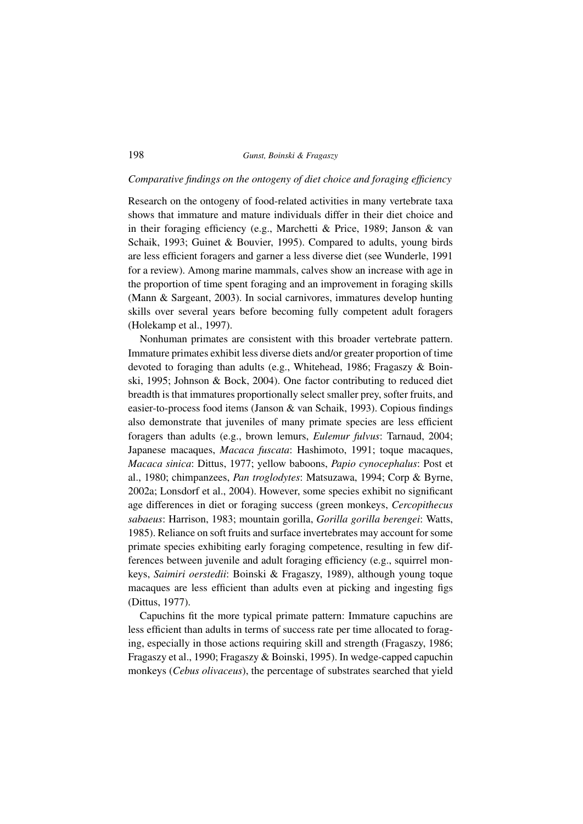198

# Comparative findings on the ontogeny of diet choice and foraging efficiency

Research on the ontogeny of food-related activities in many vertebrate taxa shows that immature and mature individuals differ in their diet choice and in their foraging efficiency (e.g., Marchetti & Price, 1989; Janson & van Schaik, 1993; Guinet & Bouvier, 1995). Compared to adults, young birds are less efficient foragers and garner a less diverse diet (see Wunderle, 1991 for a review). Among marine mammals, calves show an increase with age in the proportion of time spent foraging and an improvement in foraging skills (Mann & Sargeant, 2003). In social carnivores, immatures develop hunting skills over several years before becoming fully competent adult foragers (Holekamp et al., 1997).

Nonhuman primates are consistent with this broader vertebrate pattern. Immature primates exhibit less diverse diets and/or greater proportion of time devoted to foraging than adults (e.g., Whitehead, 1986; Fragaszy & Boinski, 1995; Johnson & Bock, 2004). One factor contributing to reduced diet breadth is that immatures proportionally select smaller prey, softer fruits, and easier-to-process food items (Janson & van Schaik, 1993). Copious findings also demonstrate that juveniles of many primate species are less efficient foragers than adults (e.g., brown lemurs, *Eulemur fulvus*: Tarnaud, 2004; Japanese macaques, *Macaca fuscata*: Hashimoto, 1991; toque macaques, Macaca sinica: Dittus, 1977; yellow baboons, Papio cynocephalus: Post et al., 1980; chimpanzees, Pan troglodytes: Matsuzawa, 1994; Corp & Byrne, 2002a; Lonsdorf et al., 2004). However, some species exhibit no significant age differences in diet or foraging success (green monkeys, Cercopithecus sabaeus: Harrison, 1983; mountain gorilla, Gorilla gorilla berengei: Watts, 1985). Reliance on soft fruits and surface invertebrates may account for some primate species exhibiting early foraging competence, resulting in few differences between juvenile and adult foraging efficiency (e.g., squirrel monkeys, Saimiri oerstedii: Boinski & Fragaszy, 1989), although young toque macaques are less efficient than adults even at picking and ingesting figs (Dittus, 1977).

Capuchins fit the more typical primate pattern: Immature capuchins are less efficient than adults in terms of success rate per time allocated to foraging, especially in those actions requiring skill and strength (Fragaszy, 1986; Fragaszy et al., 1990; Fragaszy & Boinski, 1995). In wedge-capped capuchin monkeys (Cebus olivaceus), the percentage of substrates searched that yield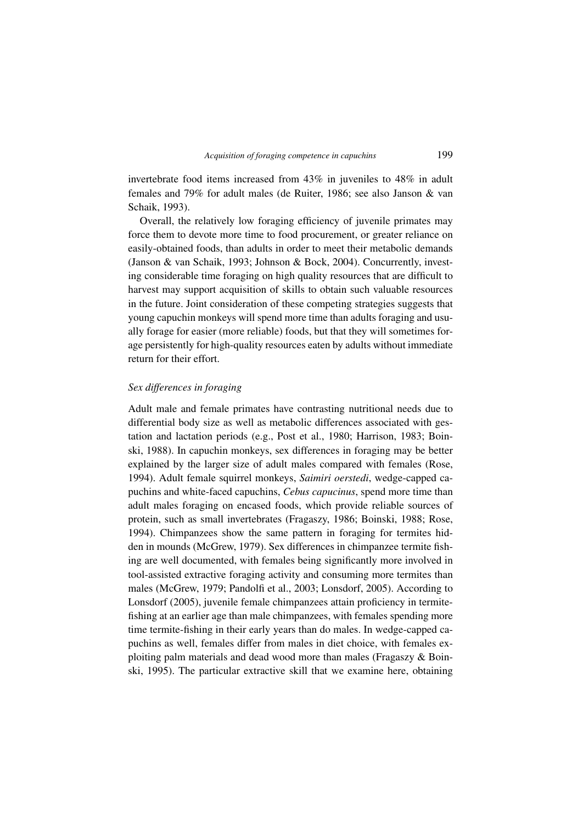invertebrate food items increased from 43% in juveniles to 48% in adult females and 79% for adult males (de Ruiter, 1986; see also Janson & van Schaik, 1993).

Overall, the relatively low foraging efficiency of juvenile primates may force them to devote more time to food procurement, or greater reliance on easily-obtained foods, than adults in order to meet their metabolic demands (Janson & van Schaik, 1993; Johnson & Bock, 2004). Concurrently, investing considerable time foraging on high quality resources that are difficult to harvest may support acquisition of skills to obtain such valuable resources in the future. Joint consideration of these competing strategies suggests that young capuchin monkeys will spend more time than adults foraging and usually forage for easier (more reliable) foods, but that they will sometimes forage persistently for high-quality resources eaten by adults without immediate return for their effort.

# Sex differences in foraging

Adult male and female primates have contrasting nutritional needs due to differential body size as well as metabolic differences associated with gestation and lactation periods (e.g., Post et al., 1980; Harrison, 1983; Boinski, 1988). In capuchin monkeys, sex differences in foraging may be better explained by the larger size of adult males compared with females (Rose, 1994). Adult female squirrel monkeys, Saimiri oerstedi, wedge-capped capuchins and white-faced capuchins, *Cebus capucinus*, spend more time than adult males foraging on encased foods, which provide reliable sources of protein, such as small invertebrates (Fragaszy, 1986; Boinski, 1988; Rose, 1994). Chimpanzees show the same pattern in foraging for termites hidden in mounds (McGrew, 1979). Sex differences in chimpanzee termite fishing are well documented, with females being significantly more involved in tool-assisted extractive foraging activity and consuming more termites than males (McGrew, 1979; Pandolfi et al., 2003; Lonsdorf, 2005). According to Lonsdorf (2005), juvenile female chimpanzees attain proficiency in termitefishing at an earlier age than male chimpanzees, with females spending more time termite-fishing in their early years than do males. In wedge-capped capuchins as well, females differ from males in diet choice, with females exploiting palm materials and dead wood more than males (Fragaszy & Boinski, 1995). The particular extractive skill that we examine here, obtaining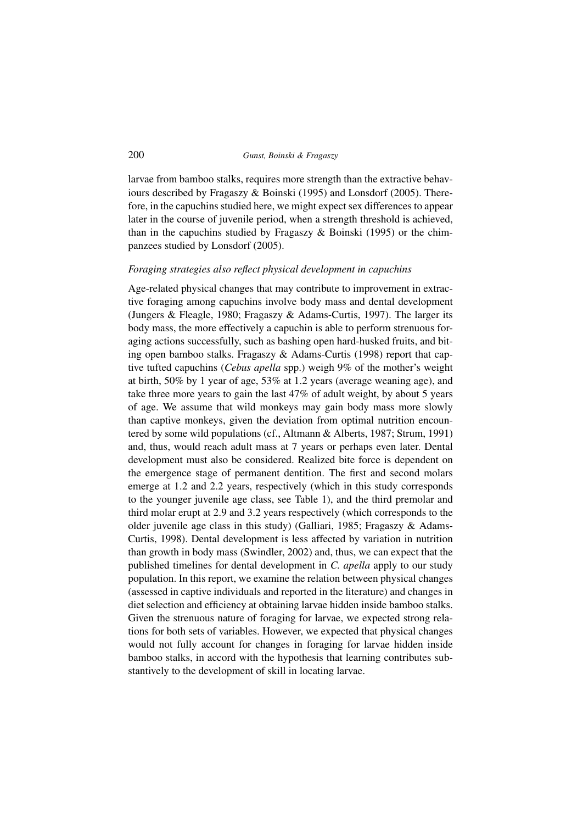larvae from bamboo stalks, requires more strength than the extractive behaviours described by Fragaszy & Boinski (1995) and Lonsdorf (2005). Therefore, in the capuchins studied here, we might expect sex differences to appear later in the course of juvenile period, when a strength threshold is achieved, than in the capuchins studied by Fragaszy & Boinski (1995) or the chimpanzees studied by Lonsdorf (2005).

# Foraging strategies also reflect physical development in capuchins

Age-related physical changes that may contribute to improvement in extractive foraging among capuchins involve body mass and dental development (Jungers & Fleagle, 1980; Fragaszy & Adams-Curtis, 1997). The larger its body mass, the more effectively a capuchin is able to perform strenuous foraging actions successfully, such as bashing open hard-husked fruits, and biting open bamboo stalks. Fragaszy & Adams-Curtis (1998) report that captive tufted capuchins (*Cebus apella spp.*) weigh 9% of the mother's weight at birth, 50% by 1 year of age, 53% at 1.2 years (average weaning age), and take three more years to gain the last 47% of adult weight, by about 5 years of age. We assume that wild monkeys may gain body mass more slowly than captive monkeys, given the deviation from optimal nutrition encountered by some wild populations (cf., Altmann & Alberts, 1987; Strum, 1991) and, thus, would reach adult mass at 7 years or perhaps even later. Dental development must also be considered. Realized bite force is dependent on the emergence stage of permanent dentition. The first and second molars emerge at 1.2 and 2.2 years, respectively (which in this study corresponds to the younger juvenile age class, see Table 1), and the third premolar and third molar erupt at 2.9 and 3.2 years respectively (which corresponds to the older juvenile age class in this study) (Galliari, 1985; Fragaszy & Adams-Curtis, 1998). Dental development is less affected by variation in nutrition than growth in body mass (Swindler, 2002) and, thus, we can expect that the published timelines for dental development in C. apella apply to our study population. In this report, we examine the relation between physical changes (assessed in captive individuals and reported in the literature) and changes in diet selection and efficiency at obtaining larvae hidden inside bamboo stalks. Given the strenuous nature of foraging for larvae, we expected strong relations for both sets of variables. However, we expected that physical changes would not fully account for changes in foraging for larvae hidden inside bamboo stalks, in accord with the hypothesis that learning contributes substantively to the development of skill in locating larvae.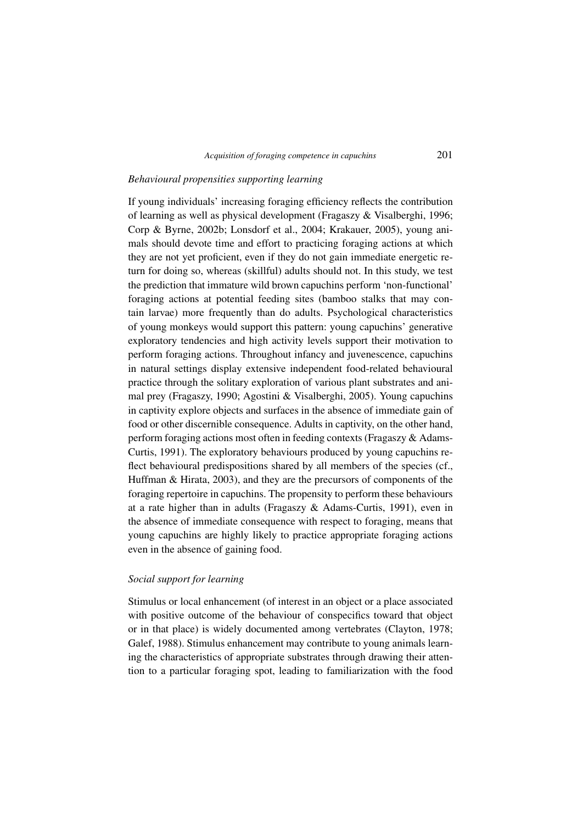# Behavioural propensities supporting learning

If young individuals' increasing foraging efficiency reflects the contribution of learning as well as physical development (Fragaszy & Visalberghi, 1996; Corp & Byrne, 2002b; Lonsdorf et al., 2004; Krakauer, 2005), young animals should devote time and effort to practicing foraging actions at which they are not yet proficient, even if they do not gain immediate energetic return for doing so, whereas (skillful) adults should not. In this study, we test the prediction that immature wild brown capuchins perform 'non-functional' foraging actions at potential feeding sites (bamboo stalks that may contain larvae) more frequently than do adults. Psychological characteristics of young monkeys would support this pattern: young capuchins' generative exploratory tendencies and high activity levels support their motivation to perform foraging actions. Throughout infancy and juvenescence, capuchins in natural settings display extensive independent food-related behavioural practice through the solitary exploration of various plant substrates and animal prey (Fragaszy, 1990; Agostini & Visalberghi, 2005). Young capuchins in captivity explore objects and surfaces in the absence of immediate gain of food or other discernible consequence. Adults in captivity, on the other hand, perform foraging actions most often in feeding contexts (Fragaszy & Adams-Curtis, 1991). The exploratory behaviours produced by young capuchins reflect behavioural predispositions shared by all members of the species (cf., Huffman  $\&$  Hirata, 2003), and they are the precursors of components of the foraging repertoire in capuchins. The propensity to perform these behaviours at a rate higher than in adults (Fragaszy & Adams-Curtis, 1991), even in the absence of immediate consequence with respect to foraging, means that young capuchins are highly likely to practice appropriate foraging actions even in the absence of gaining food.

# Social support for learning

Stimulus or local enhancement (of interest in an object or a place associated with positive outcome of the behaviour of conspecifics toward that object or in that place) is widely documented among vertebrates (Clayton, 1978; Galef, 1988). Stimulus enhancement may contribute to young animals learning the characteristics of appropriate substrates through drawing their attention to a particular foraging spot, leading to familiarization with the food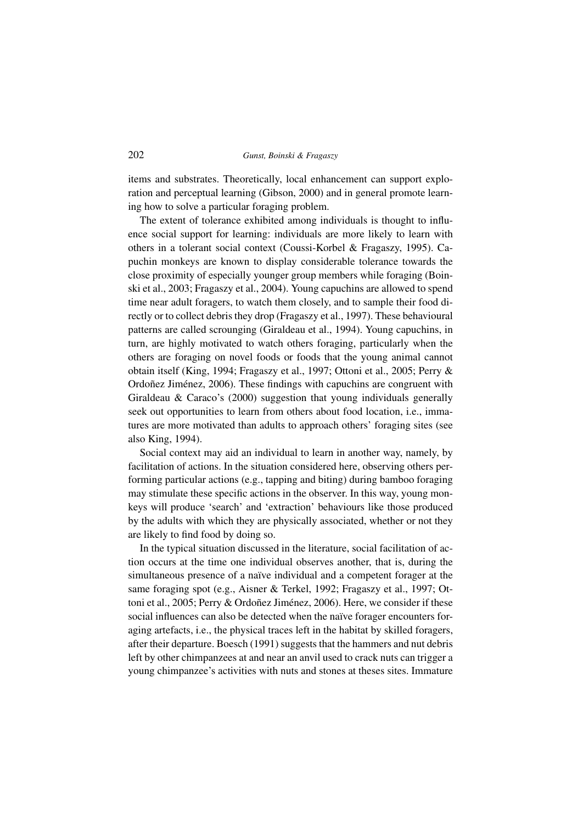items and substrates. Theoretically, local enhancement can support exploration and perceptual learning (Gibson, 2000) and in general promote learning how to solve a particular foraging problem.

The extent of tolerance exhibited among individuals is thought to influence social support for learning: individuals are more likely to learn with others in a tolerant social context (Coussi-Korbel & Fragaszy, 1995). Capuchin monkeys are known to display considerable tolerance towards the close proximity of especially younger group members while foraging (Boinski et al., 2003; Fragaszy et al., 2004). Young capuchins are allowed to spend time near adult foragers, to watch them closely, and to sample their food directly or to collect debris they drop (Fragaszy et al., 1997). These behavioural patterns are called scrounging (Giraldeau et al., 1994). Young capuchins, in turn, are highly motivated to watch others foraging, particularly when the others are foraging on novel foods or foods that the young animal cannot obtain itself (King, 1994; Fragaszy et al., 1997; Ottoni et al., 2005; Perry & Ordoñez Jiménez, 2006). These findings with capuchins are congruent with Giraldeau & Caraco's (2000) suggestion that young individuals generally seek out opportunities to learn from others about food location, *i.e.*, immatures are more motivated than adults to approach others' foraging sites (see also King, 1994).

Social context may aid an individual to learn in another way, namely, by facilitation of actions. In the situation considered here, observing others performing particular actions (e.g., tapping and biting) during bamboo foraging may stimulate these specific actions in the observer. In this way, young monkeys will produce 'search' and 'extraction' behaviours like those produced by the adults with which they are physically associated, whether or not they are likely to find food by doing so.

In the typical situation discussed in the literature, social facilitation of action occurs at the time one individual observes another, that is, during the simultaneous presence of a naïve individual and a competent forager at the same foraging spot (e.g., Aisner & Terkel, 1992; Fragaszy et al., 1997; Ottoni et al., 2005; Perry & Ordoñez Jiménez, 2006). Here, we consider if these social influences can also be detected when the naïve forager encounters foraging artefacts, i.e., the physical traces left in the habitat by skilled foragers, after their departure. Boesch (1991) suggests that the hammers and nut debris left by other chimpanzees at and near an anvil used to crack nuts can trigger a young chimpanzee's activities with nuts and stones at theses sites. Immature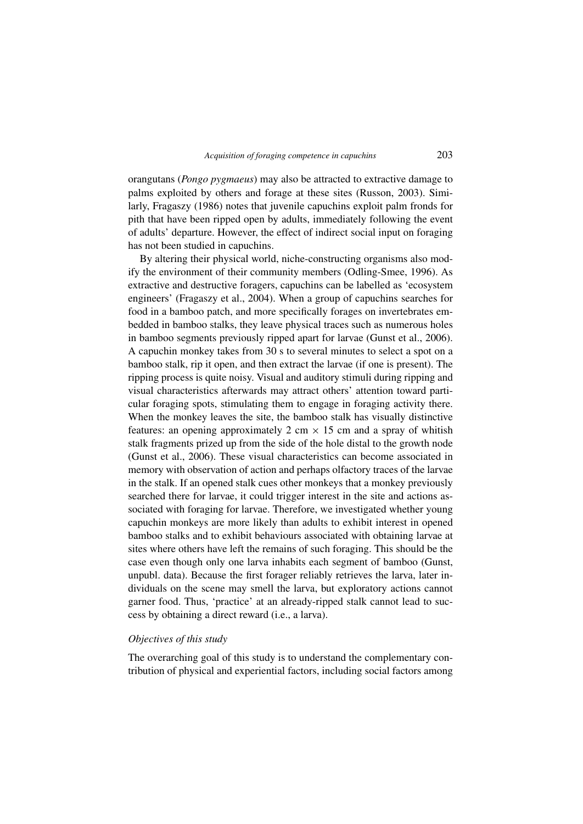orangutans (Pongo pygmaeus) may also be attracted to extractive damage to palms exploited by others and forage at these sites (Russon, 2003). Similarly, Fragaszy (1986) notes that juvenile capuchins exploit palm fronds for pith that have been ripped open by adults, immediately following the event of adults' departure. However, the effect of indirect social input on foraging has not been studied in capuchins.

By altering their physical world, niche-constructing organisms also modify the environment of their community members (Odling-Smee, 1996). As extractive and destructive foragers, capuchins can be labelled as 'ecosystem engineers' (Fragaszy et al., 2004). When a group of capuchins searches for food in a bamboo patch, and more specifically forages on invertebrates embedded in bamboo stalks, they leave physical traces such as numerous holes in bamboo segments previously ripped apart for larvae (Gunst et al., 2006). A capuchin monkey takes from 30 s to several minutes to select a spot on a bamboo stalk, rip it open, and then extract the larvae (if one is present). The ripping process is quite noisy. Visual and auditory stimuli during ripping and visual characteristics afterwards may attract others' attention toward particular foraging spots, stimulating them to engage in foraging activity there. When the monkey leaves the site, the bamboo stalk has visually distinctive features: an opening approximately 2 cm  $\times$  15 cm and a spray of whitish stalk fragments prized up from the side of the hole distal to the growth node (Gunst et al., 2006). These visual characteristics can become associated in memory with observation of action and perhaps olfactory traces of the larvae in the stalk. If an opened stalk cues other monkeys that a monkey previously searched there for larvae, it could trigger interest in the site and actions associated with foraging for larvae. Therefore, we investigated whether young capuchin monkeys are more likely than adults to exhibit interest in opened bamboo stalks and to exhibit behaviours associated with obtaining larvae at sites where others have left the remains of such foraging. This should be the case even though only one larva inhabits each segment of bamboo (Gunst, unpubl. data). Because the first forager reliably retrieves the larva, later individuals on the scene may smell the larva, but exploratory actions cannot garner food. Thus, 'practice' at an already-ripped stalk cannot lead to success by obtaining a direct reward (i.e., a larva).

# Objectives of this study

The overarching goal of this study is to understand the complementary contribution of physical and experiential factors, including social factors among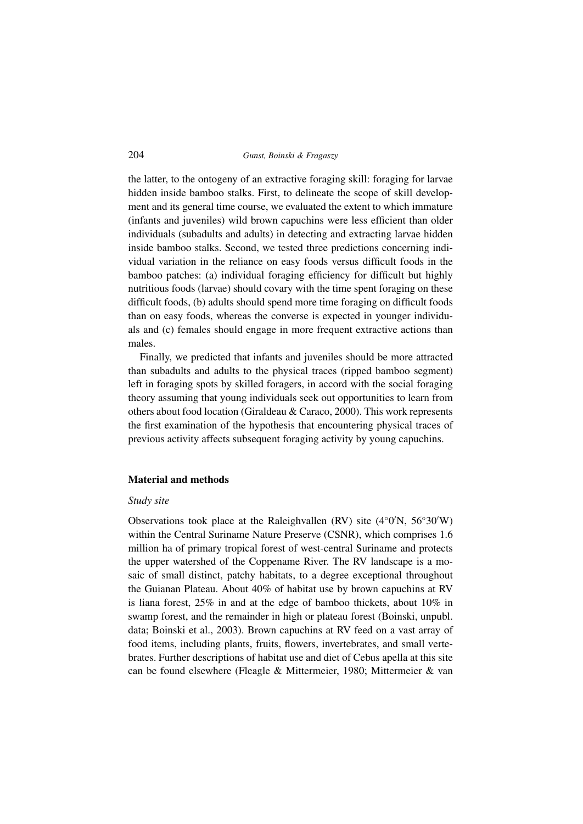the latter, to the ontogeny of an extractive foraging skill: foraging for larvae hidden inside bamboo stalks. First, to delineate the scope of skill development and its general time course, we evaluated the extent to which immature (infants and juveniles) wild brown capuchins were less efficient than older individuals (subadults and adults) in detecting and extracting larvae hidden inside bamboo stalks. Second, we tested three predictions concerning individual variation in the reliance on easy foods versus difficult foods in the bamboo patches: (a) individual foraging efficiency for difficult but highly nutritious foods (larvae) should covary with the time spent foraging on these difficult foods, (b) adults should spend more time foraging on difficult foods than on easy foods, whereas the converse is expected in younger individuals and (c) females should engage in more frequent extractive actions than males.

Finally, we predicted that infants and juveniles should be more attracted than subadults and adults to the physical traces (ripped bamboo segment) left in foraging spots by skilled foragers, in accord with the social foraging theory assuming that young individuals seek out opportunities to learn from others about food location (Giraldeau & Caraco, 2000). This work represents the first examination of the hypothesis that encountering physical traces of previous activity affects subsequent foraging activity by young capuchins.

# **Material and methods**

#### Study site

Observations took place at the Raleighvallen (RV) site  $(4^{\circ}0'N, 56^{\circ}30'W)$ within the Central Suriname Nature Preserve (CSNR), which comprises 1.6 million ha of primary tropical forest of west-central Suriname and protects the upper watershed of the Coppename River. The RV landscape is a mosaic of small distinct, patchy habitats, to a degree exceptional throughout the Guianan Plateau. About 40% of habitat use by brown capuchins at RV is liana forest, 25% in and at the edge of bamboo thickets, about 10% in swamp forest, and the remainder in high or plateau forest (Boinski, unpubl. data; Boinski et al., 2003). Brown capuchins at RV feed on a vast array of food items, including plants, fruits, flowers, invertebrates, and small vertebrates. Further descriptions of habitat use and diet of Cebus apella at this site can be found elsewhere (Fleagle & Mittermeier, 1980; Mittermeier & van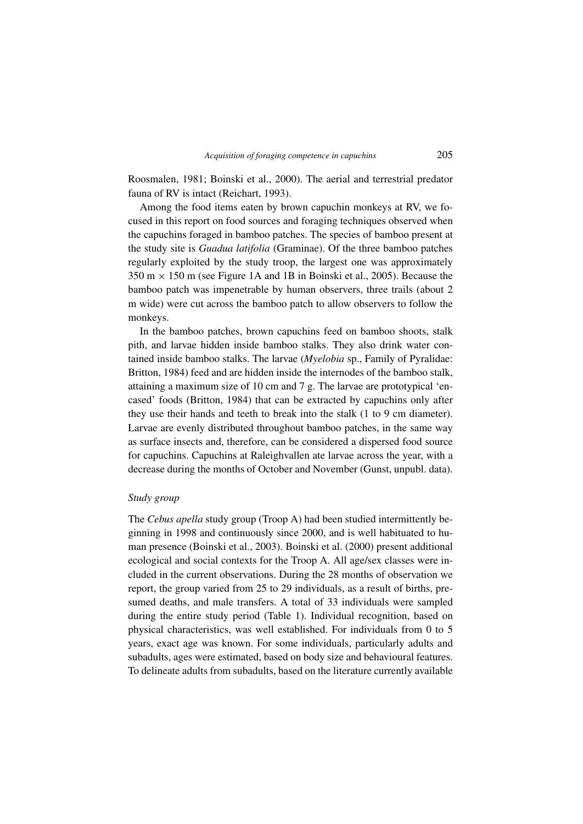Roosmalen, 1981; Boinski et al., 2000). The aerial and terrestrial predator fauna of RV is intact (Reichart, 1993).

Among the food items eaten by brown capuchin monkeys at RV, we focused in this report on food sources and foraging techniques observed when the capuchins foraged in bamboo patches. The species of bamboo present at the study site is *Guadua latifolia* (Graminae). Of the three bamboo patches regularly exploited by the study troop, the largest one was approximately  $350 \text{ m} \times 150 \text{ m}$  (see Figure 1A and 1B in Boinski et al., 2005). Because the bamboo patch was impenetrable by human observers, three trails (about 2 m wide) were cut across the bamboo patch to allow observers to follow the monkeys.

In the bamboo patches, brown capuchins feed on bamboo shoots, stalk pith, and larvae hidden inside bamboo stalks. They also drink water contained inside bamboo stalks. The larvae (Myelobia sp., Family of Pyralidae: Britton, 1984) feed and are hidden inside the internodes of the bamboo stalk, attaining a maximum size of 10 cm and 7 g. The larvae are prototypical 'encased' foods (Britton, 1984) that can be extracted by capuchins only after they use their hands and teeth to break into the stalk (1 to 9 cm diameter). Larvae are evenly distributed throughout bamboo patches, in the same way as surface insects and, therefore, can be considered a dispersed food source for capuchins. Capuchins at Raleighvallen ate larvae across the year, with a decrease during the months of October and November (Gunst, unpubl. data).

# Study group

The Cebus apella study group (Troop A) had been studied intermittently beginning in 1998 and continuously since 2000, and is well habituated to human presence (Boinski et al., 2003). Boinski et al. (2000) present additional ecological and social contexts for the Troop A. All age/sex classes were included in the current observations. During the 28 months of observation we report, the group varied from 25 to 29 individuals, as a result of births, presumed deaths, and male transfers. A total of 33 individuals were sampled during the entire study period (Table 1). Individual recognition, based on physical characteristics, was well established. For individuals from 0 to 5 years, exact age was known. For some individuals, particularly adults and subadults, ages were estimated, based on body size and behavioural features. To delineate adults from subadults, based on the literature currently available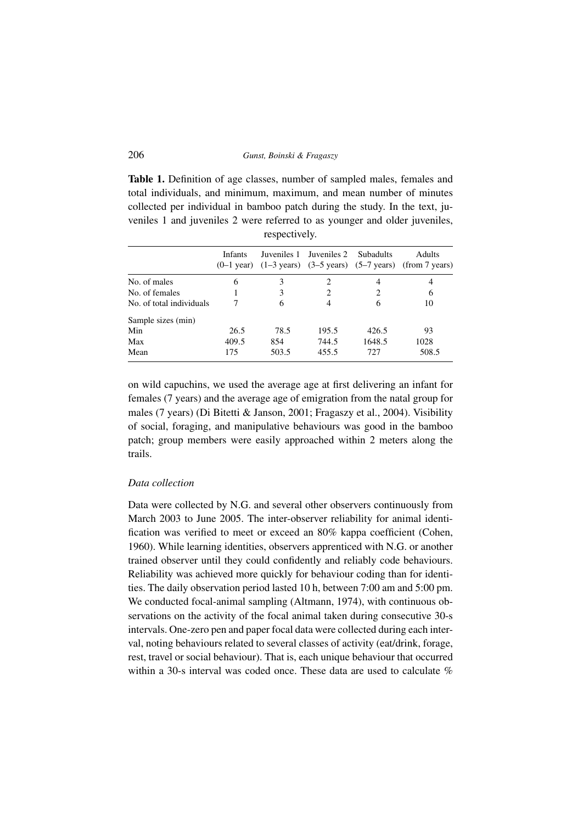Table 1. Definition of age classes, number of sampled males, females and total individuals, and minimum, maximum, and mean number of minutes collected per individual in bamboo patch during the study. In the text, juveniles 1 and juveniles 2 were referred to as younger and older juveniles, respectively.

|                          | Infants |       | Juveniles 1 Juveniles 2 Subadults |        | <b>Adults</b><br>$(0-1 \text{ year})$ $(1-3 \text{ years})$ $(3-5 \text{ years})$ $(5-7 \text{ years})$ $(\text{from 7 years})$ |
|--------------------------|---------|-------|-----------------------------------|--------|---------------------------------------------------------------------------------------------------------------------------------|
| No. of males             | 6       | 3     | $\mathfrak{D}$                    | 4      | 4                                                                                                                               |
| No. of females           |         | 3     | $\overline{c}$                    | 2      | 6                                                                                                                               |
| No. of total individuals |         | 6     | 4                                 | 6      | 10                                                                                                                              |
| Sample sizes (min)       |         |       |                                   |        |                                                                                                                                 |
| Min                      | 26.5    | 78.5  | 195.5                             | 426.5  | 93                                                                                                                              |
| Max                      | 409.5   | 854   | 744.5                             | 1648.5 | 1028                                                                                                                            |
| Mean                     | 175     | 503.5 | 455.5                             | 727    | 508.5                                                                                                                           |

on wild capuchins, we used the average age at first delivering an infant for females (7 years) and the average age of emigration from the natal group for males (7 years) (Di Bitetti & Janson, 2001; Fragaszy et al., 2004). Visibility of social, foraging, and manipulative behaviours was good in the bamboo patch; group members were easily approached within 2 meters along the trails.

# Data collection

Data were collected by N.G. and several other observers continuously from March 2003 to June 2005. The inter-observer reliability for animal identification was verified to meet or exceed an 80% kappa coefficient (Cohen, 1960). While learning identities, observers apprenticed with N.G. or another trained observer until they could confidently and reliably code behaviours. Reliability was achieved more quickly for behaviour coding than for identities. The daily observation period lasted 10 h, between 7:00 am and 5:00 pm. We conducted focal-animal sampling (Altmann, 1974), with continuous observations on the activity of the focal animal taken during consecutive 30-s intervals. One-zero pen and paper focal data were collected during each interval, noting behaviours related to several classes of activity (eat/drink, forage, rest, travel or social behaviour). That is, each unique behaviour that occurred within a 30-s interval was coded once. These data are used to calculate  $\%$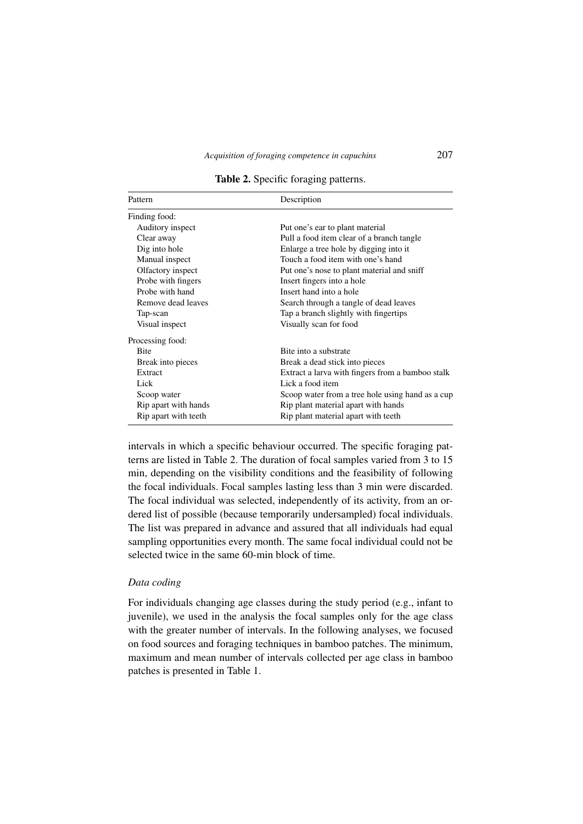| <b>Table 2.</b> Specific foraging patterns. |  |
|---------------------------------------------|--|
|---------------------------------------------|--|

| Pattern              | Description                                      |  |
|----------------------|--------------------------------------------------|--|
| Finding food:        |                                                  |  |
| Auditory inspect     | Put one's ear to plant material                  |  |
| Clear away           | Pull a food item clear of a branch tangle        |  |
| Dig into hole        | Enlarge a tree hole by digging into it           |  |
| Manual inspect       | Touch a food item with one's hand                |  |
| Olfactory inspect    | Put one's nose to plant material and sniff       |  |
| Probe with fingers   | Insert fingers into a hole                       |  |
| Probe with hand      | Insert hand into a hole                          |  |
| Remove dead leaves   | Search through a tangle of dead leaves           |  |
| Tap-scan             | Tap a branch slightly with fingertips            |  |
| Visual inspect       | Visually scan for food                           |  |
| Processing food:     |                                                  |  |
| <b>Bite</b>          | Bite into a substrate                            |  |
| Break into pieces    | Break a dead stick into pieces                   |  |
| Extract              | Extract a larva with fingers from a bamboo stalk |  |
| Lick                 | Lick a food item                                 |  |
| Scoop water          | Scoop water from a tree hole using hand as a cup |  |
| Rip apart with hands | Rip plant material apart with hands              |  |
| Rip apart with teeth | Rip plant material apart with teeth              |  |

intervals in which a specific behaviour occurred. The specific foraging patterns are listed in Table 2. The duration of focal samples varied from 3 to 15 min, depending on the visibility conditions and the feasibility of following the focal individuals. Focal samples lasting less than 3 min were discarded. The focal individual was selected, independently of its activity, from an ordered list of possible (because temporarily undersampled) focal individuals. The list was prepared in advance and assured that all individuals had equal sampling opportunities every month. The same focal individual could not be selected twice in the same 60-min block of time.

## Data coding

For individuals changing age classes during the study period (e.g., infant to juvenile), we used in the analysis the focal samples only for the age class with the greater number of intervals. In the following analyses, we focused on food sources and foraging techniques in bamboo patches. The minimum, maximum and mean number of intervals collected per age class in bamboo patches is presented in Table 1.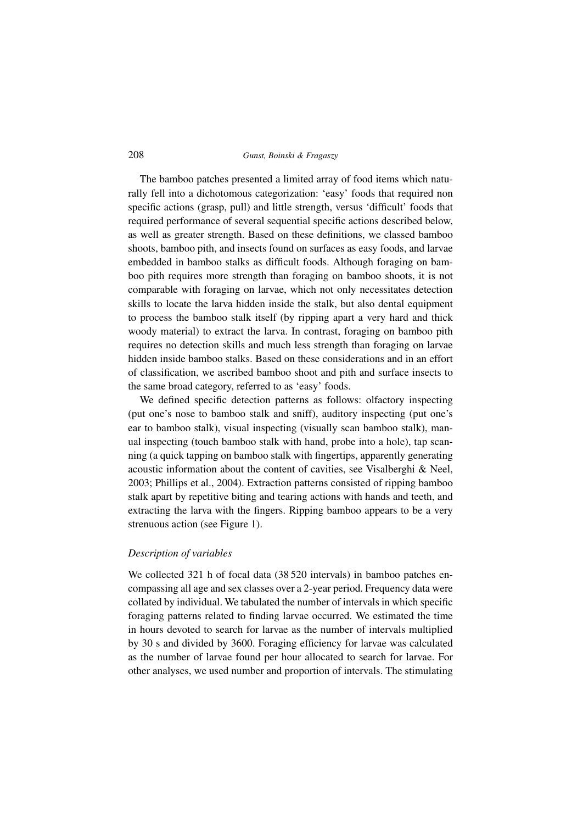The bamboo patches presented a limited array of food items which naturally fell into a dichotomous categorization: 'easy' foods that required non specific actions (grasp, pull) and little strength, versus 'difficult' foods that required performance of several sequential specific actions described below, as well as greater strength. Based on these definitions, we classed bamboo shoots, bamboo pith, and insects found on surfaces as easy foods, and larvae embedded in bamboo stalks as difficult foods. Although foraging on bamboo pith requires more strength than foraging on bamboo shoots, it is not comparable with foraging on larvae, which not only necessitates detection skills to locate the larva hidden inside the stalk, but also dental equipment to process the bamboo stalk itself (by ripping apart a very hard and thick woody material) to extract the larva. In contrast, foraging on bamboo pith requires no detection skills and much less strength than foraging on larvae hidden inside bamboo stalks. Based on these considerations and in an effort of classification, we ascribed bamboo shoot and pith and surface insects to the same broad category, referred to as 'easy' foods.

We defined specific detection patterns as follows: olfactory inspecting (put one's nose to bamboo stalk and sniff), auditory inspecting (put one's ear to bamboo stalk), visual inspecting (visually scan bamboo stalk), manual inspecting (touch bamboo stalk with hand, probe into a hole), tap scanning (a quick tapping on bamboo stalk with fingertips, apparently generating acoustic information about the content of cavities, see Visalberghi & Neel, 2003; Phillips et al., 2004). Extraction patterns consisted of ripping bamboo stalk apart by repetitive biting and tearing actions with hands and teeth, and extracting the larva with the fingers. Ripping bamboo appears to be a very strenuous action (see Figure 1).

## Description of variables

We collected 321 h of focal data (38 520 intervals) in bamboo patches encompassing all age and sex classes over a 2-year period. Frequency data were collated by individual. We tabulated the number of intervals in which specific foraging patterns related to finding larvae occurred. We estimated the time in hours devoted to search for larvae as the number of intervals multiplied by 30 s and divided by 3600. Foraging efficiency for larvae was calculated as the number of larvae found per hour allocated to search for larvae. For other analyses, we used number and proportion of intervals. The stimulating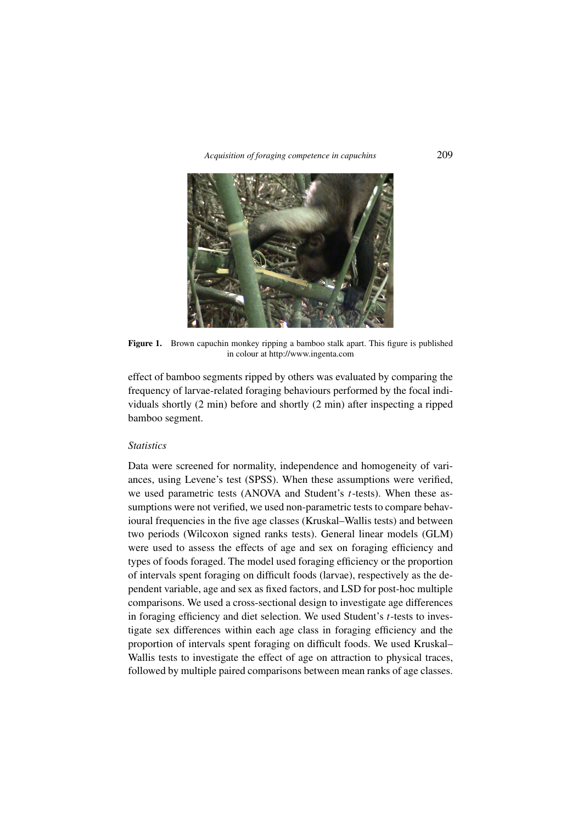

Figure 1. Brown capuchin monkey ripping a bamboo stalk apart. This figure is published in colour at http://www.ingenta.com

effect of bamboo segments ripped by others was evaluated by comparing the frequency of larvae-related foraging behaviours performed by the focal individuals shortly (2 min) before and shortly (2 min) after inspecting a ripped bamboo segment.

## **Statistics**

Data were screened for normality, independence and homogeneity of variances, using Levene's test (SPSS). When these assumptions were verified, we used parametric tests (ANOVA and Student's t-tests). When these assumptions were not verified, we used non-parametric tests to compare behavioural frequencies in the five age classes (Kruskal–Wallis tests) and between two periods (Wilcoxon signed ranks tests). General linear models (GLM) were used to assess the effects of age and sex on foraging efficiency and types of foods foraged. The model used foraging efficiency or the proportion of intervals spent foraging on difficult foods (larvae), respectively as the dependent variable, age and sex as fixed factors, and LSD for post-hoc multiple comparisons. We used a cross-sectional design to investigate age differences in foraging efficiency and diet selection. We used Student's  $t$ -tests to investigate sex differences within each age class in foraging efficiency and the proportion of intervals spent foraging on difficult foods. We used Kruskal-Wallis tests to investigate the effect of age on attraction to physical traces, followed by multiple paired comparisons between mean ranks of age classes.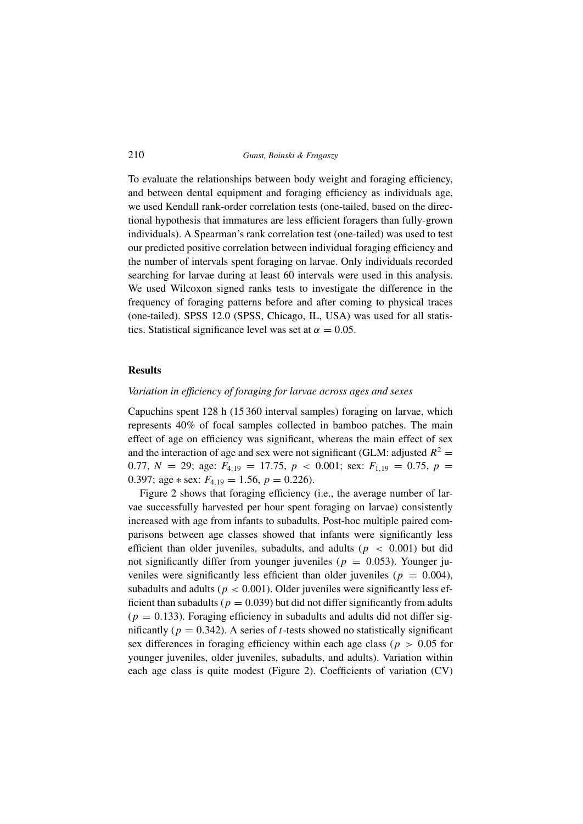To evaluate the relationships between body weight and foraging efficiency, and between dental equipment and foraging efficiency as individuals age, we used Kendall rank-order correlation tests (one-tailed, based on the directional hypothesis that immatures are less efficient foragers than fully-grown individuals). A Spearman's rank correlation test (one-tailed) was used to test our predicted positive correlation between individual foraging efficiency and the number of intervals spent foraging on larvae. Only individuals recorded searching for larvae during at least 60 intervals were used in this analysis. We used Wilcoxon signed ranks tests to investigate the difference in the frequency of foraging patterns before and after coming to physical traces (one-tailed). SPSS 12.0 (SPSS, Chicago, IL, USA) was used for all statistics. Statistical significance level was set at  $\alpha = 0.05$ .

# **Results**

# Variation in efficiency of foraging for larvae across ages and sexes

Capuchins spent 128 h (15 360 interval samples) foraging on larvae, which represents 40% of focal samples collected in bamboo patches. The main effect of age on efficiency was significant, whereas the main effect of sex and the interaction of age and sex were not significant (GLM: adjusted  $R^2$  = 0.77,  $N = 29$ ; age:  $F_{4,19} = 17.75$ ,  $p < 0.001$ ; sex:  $F_{1,19} = 0.75$ ,  $p =$ 0.397; age  $\ast$  sex:  $F_{4,19} = 1.56$ ,  $p = 0.226$ ).

Figure 2 shows that foraging efficiency (i.e., the average number of larvae successfully harvested per hour spent foraging on larvae) consistently increased with age from infants to subadults. Post-hoc multiple paired comparisons between age classes showed that infants were significantly less efficient than older juveniles, subadults, and adults ( $p < 0.001$ ) but did not significantly differ from younger juveniles ( $p = 0.053$ ). Younger juveniles were significantly less efficient than older juveniles ( $p = 0.004$ ), subadults and adults ( $p < 0.001$ ). Older juveniles were significantly less efficient than subadults ( $p = 0.039$ ) but did not differ significantly from adults  $(p = 0.133)$ . Foraging efficiency in subadults and adults did not differ significantly ( $p = 0.342$ ). A series of *t*-tests showed no statistically significant sex differences in foraging efficiency within each age class ( $p > 0.05$  for younger juveniles, older juveniles, subadults, and adults). Variation within each age class is quite modest (Figure 2). Coefficients of variation (CV)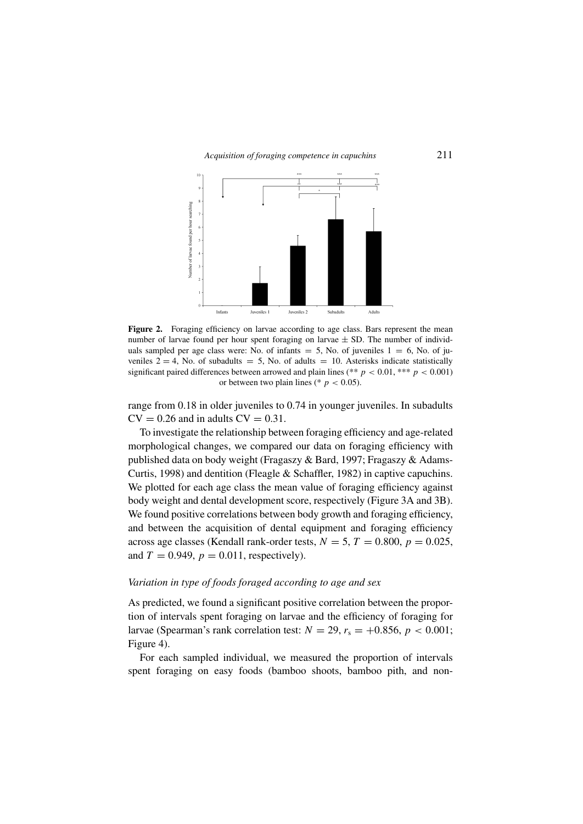

Figure 2. Foraging efficiency on larvae according to age class. Bars represent the mean number of larvae found per hour spent foraging on larvae  $\pm$  SD. The number of individuals sampled per age class were: No. of infants  $= 5$ , No. of juveniles  $1 = 6$ , No. of juveniles  $2 = 4$ , No. of subadults = 5, No. of adults = 10. Asterisks indicate statistically significant paired differences between arrowed and plain lines (\*\*  $p < 0.01$ , \*\*\*  $p < 0.001$ ) or between two plain lines (\*  $p < 0.05$ ).

range from 0.18 in older juveniles to 0.74 in younger juveniles. In subadults  $CV = 0.26$  and in adults  $CV = 0.31$ .

To investigate the relationship between foraging efficiency and age-related morphological changes, we compared our data on foraging efficiency with published data on body weight (Fragaszy & Bard, 1997; Fragaszy & Adams-Curtis, 1998) and dentition (Fleagle & Schaffler, 1982) in captive capuchins. We plotted for each age class the mean value of foraging efficiency against body weight and dental development score, respectively (Figure 3A and 3B). We found positive correlations between body growth and foraging efficiency, and between the acquisition of dental equipment and foraging efficiency across age classes (Kendall rank-order tests,  $N = 5$ ,  $T = 0.800$ ,  $p = 0.025$ , and  $T = 0.949$ ,  $p = 0.011$ , respectively).

# Variation in type of foods foraged according to age and sex

As predicted, we found a significant positive correlation between the proportion of intervals spent foraging on larvae and the efficiency of foraging for larvae (Spearman's rank correlation test:  $N = 29$ ,  $r_s = +0.856$ ,  $p < 0.001$ ; Figure 4).

For each sampled individual, we measured the proportion of intervals spent foraging on easy foods (bamboo shoots, bamboo pith, and non-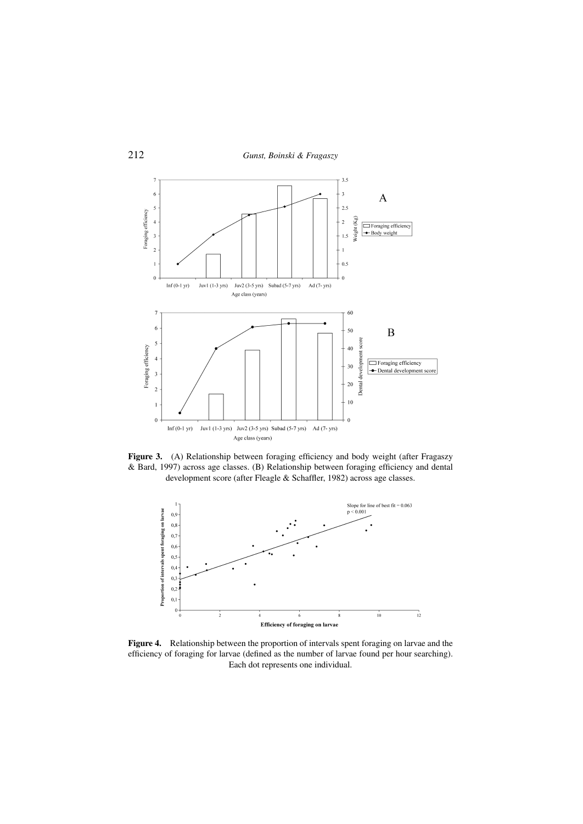

Figure 3. (A) Relationship between foraging efficiency and body weight (after Fragaszy & Bard, 1997) across age classes. (B) Relationship between foraging efficiency and dental development score (after Fleagle & Schaffler, 1982) across age classes.



Figure 4. Relationship between the proportion of intervals spent foraging on larvae and the efficiency of foraging for larvae (defined as the number of larvae found per hour searching). Each dot represents one individual.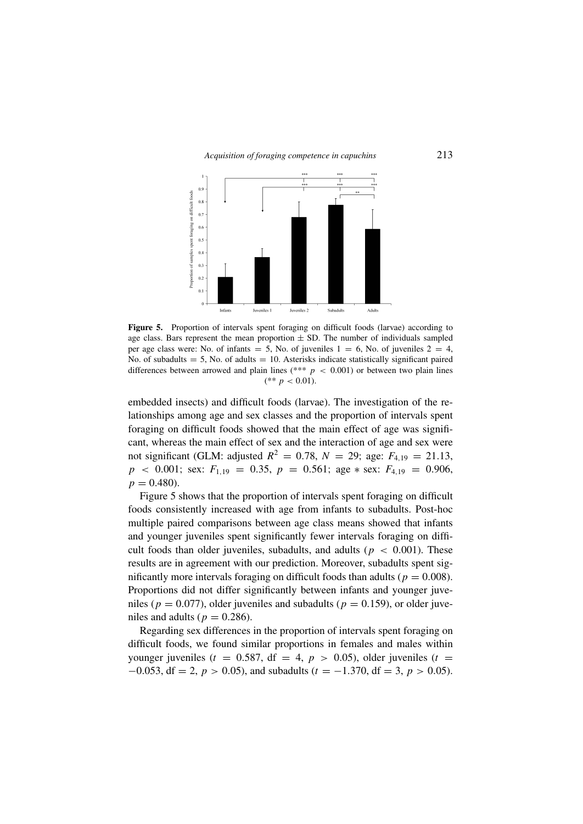Acquisition of foraging competence in capuchins



Figure 5. Proportion of intervals spent foraging on difficult foods (larvae) according to age class. Bars represent the mean proportion  $\pm$  SD. The number of individuals sampled per age class were: No. of infants = 5, No. of juveniles  $1 = 6$ , No. of juveniles  $2 = 4$ , No. of subadults  $= 5$ , No. of adults  $= 10$ . Asterisks indicate statistically significant paired differences between arrowed and plain lines (\*\*\*  $p \le 0.001$ ) or between two plain lines  $(* p < 0.01).$ 

embedded insects) and difficult foods (larvae). The investigation of the relationships among age and sex classes and the proportion of intervals spent foraging on difficult foods showed that the main effect of age was significant, whereas the main effect of sex and the interaction of age and sex were not significant (GLM: adjusted  $R^2 = 0.78$ ,  $N = 29$ ; age:  $F_{4,19} = 21.13$ ,  $p \lt 0.001$ ; sex:  $F_{1,19} = 0.35$ ,  $p = 0.561$ ; age \* sex:  $F_{4,19} = 0.906$ ,  $p = 0.480$ .

Figure 5 shows that the proportion of intervals spent foraging on difficult foods consistently increased with age from infants to subadults. Post-hoc multiple paired comparisons between age class means showed that infants and younger juveniles spent significantly fewer intervals foraging on difficult foods than older juveniles, subadults, and adults ( $p < 0.001$ ). These results are in agreement with our prediction. Moreover, subadults spent significantly more intervals foraging on difficult foods than adults ( $p = 0.008$ ). Proportions did not differ significantly between infants and younger juveniles ( $p = 0.077$ ), older juveniles and subadults ( $p = 0.159$ ), or older juveniles and adults ( $p = 0.286$ ).

Regarding sex differences in the proportion of intervals spent foraging on difficult foods, we found similar proportions in females and males within younger juveniles ( $t = 0.587$ , df = 4,  $p > 0.05$ ), older juveniles ( $t =$  $-0.053$ , df = 2, p > 0.05), and subadults (t = -1.370, df = 3, p > 0.05).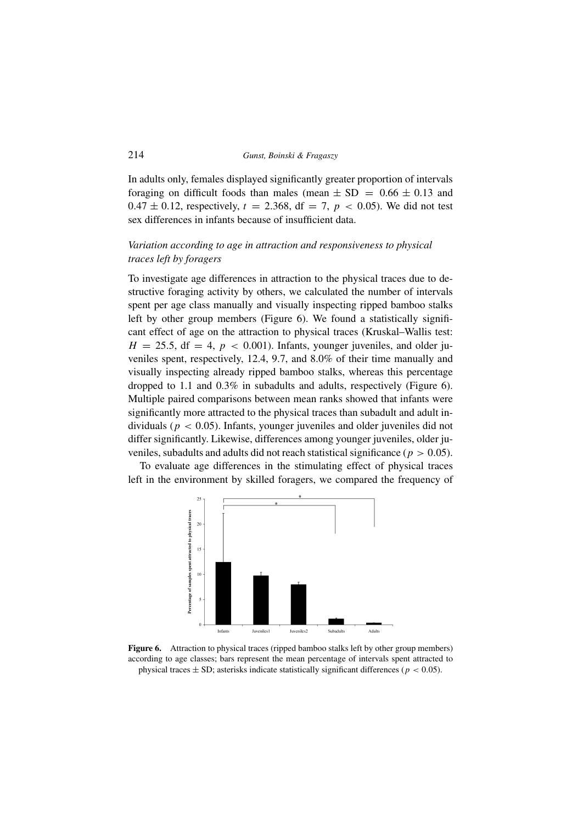In adults only, females displayed significantly greater proportion of intervals foraging on difficult foods than males (mean  $\pm$  SD = 0.66  $\pm$  0.13 and  $0.47 \pm 0.12$ , respectively,  $t = 2.368$ , df = 7,  $p < 0.05$ ). We did not test sex differences in infants because of insufficient data.

# Variation according to age in attraction and responsiveness to physical traces left by foragers

To investigate age differences in attraction to the physical traces due to destructive foraging activity by others, we calculated the number of intervals spent per age class manually and visually inspecting ripped bamboo stalks left by other group members (Figure 6). We found a statistically significant effect of age on the attraction to physical traces (Kruskal-Wallis test:  $H = 25.5$ , df = 4,  $p < 0.001$ ). Infants, younger juveniles, and older juveniles spent, respectively, 12.4, 9.7, and 8.0% of their time manually and visually inspecting already ripped bamboo stalks, whereas this percentage dropped to 1.1 and 0.3% in subadults and adults, respectively (Figure 6). Multiple paired comparisons between mean ranks showed that infants were significantly more attracted to the physical traces than subadult and adult individuals ( $p < 0.05$ ). Infants, younger juveniles and older juveniles did not differ significantly. Likewise, differences among younger juveniles, older juveniles, subadults and adults did not reach statistical significance ( $p > 0.05$ ).

To evaluate age differences in the stimulating effect of physical traces left in the environment by skilled foragers, we compared the frequency of



Figure 6. Attraction to physical traces (ripped bamboo stalks left by other group members) according to age classes; bars represent the mean percentage of intervals spent attracted to physical traces  $\pm$  SD; asterisks indicate statistically significant differences ( $p < 0.05$ ).

2.14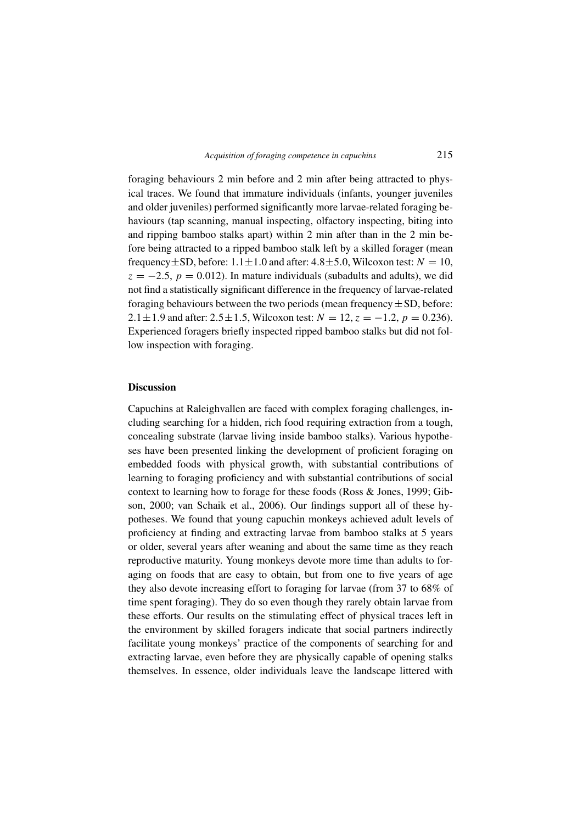foraging behaviours 2 min before and 2 min after being attracted to physical traces. We found that immature individuals (infants, younger juveniles and older juveniles) performed significantly more larvae-related foraging behaviours (tap scanning, manual inspecting, olfactory inspecting, biting into and ripping bamboo stalks apart) within 2 min after than in the 2 min before being attracted to a ripped bamboo stalk left by a skilled forager (mean frequency ± SD, before:  $1.1 \pm 1.0$  and after:  $4.8 \pm 5.0$ , Wilcoxon test:  $N = 10$ ,  $z = -2.5$ ,  $p = 0.012$ ). In mature individuals (subadults and adults), we did not find a statistically significant difference in the frequency of larvae-related foraging behaviours between the two periods (mean frequency  $\pm$  SD, before: 2.1±1.9 and after: 2.5±1.5, Wilcoxon test:  $N = 12$ ,  $z = -1.2$ ,  $p = 0.236$ ). Experienced foragers briefly inspected ripped bamboo stalks but did not follow inspection with foraging.

## **Discussion**

Capuchins at Raleighvallen are faced with complex foraging challenges, including searching for a hidden, rich food requiring extraction from a tough, concealing substrate (larvae living inside bamboo stalks). Various hypotheses have been presented linking the development of proficient foraging on embedded foods with physical growth, with substantial contributions of learning to foraging proficiency and with substantial contributions of social context to learning how to forage for these foods (Ross & Jones, 1999; Gibson, 2000; van Schaik et al., 2006). Our findings support all of these hypotheses. We found that young capuchin monkeys achieved adult levels of proficiency at finding and extracting larvae from bamboo stalks at 5 years or older, several years after weaning and about the same time as they reach reproductive maturity. Young monkeys devote more time than adults to foraging on foods that are easy to obtain, but from one to five years of age they also devote increasing effort to foraging for larvae (from 37 to 68% of time spent foraging). They do so even though they rarely obtain larvae from these efforts. Our results on the stimulating effect of physical traces left in the environment by skilled foragers indicate that social partners indirectly facilitate young monkeys' practice of the components of searching for and extracting larvae, even before they are physically capable of opening stalks themselves. In essence, older individuals leave the landscape littered with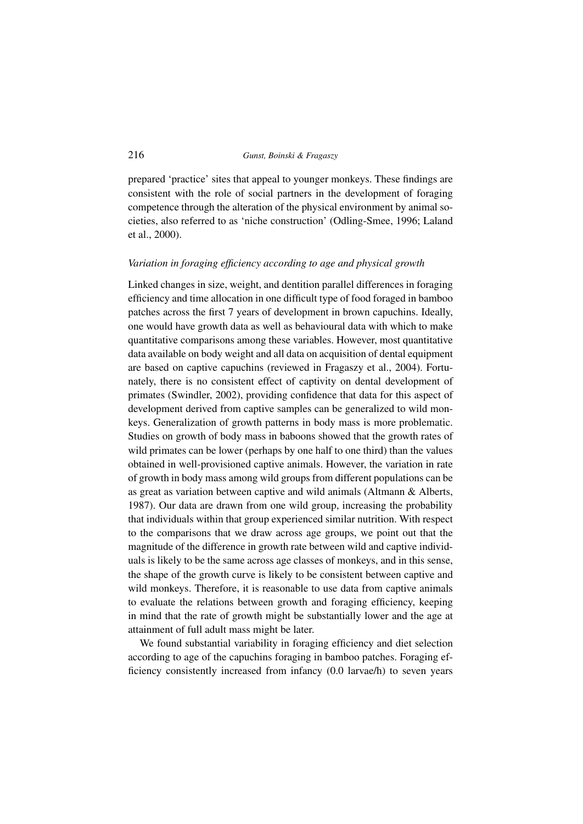prepared 'practice' sites that appeal to younger monkeys. These findings are consistent with the role of social partners in the development of foraging competence through the alteration of the physical environment by animal societies, also referred to as 'niche construction' (Odling-Smee, 1996; Laland et al., 2000).

# Variation in foraging efficiency according to age and physical growth

Linked changes in size, weight, and dentition parallel differences in foraging efficiency and time allocation in one difficult type of food foraged in bamboo patches across the first 7 years of development in brown capuchins. Ideally, one would have growth data as well as behavioural data with which to make quantitative comparisons among these variables. However, most quantitative data available on body weight and all data on acquisition of dental equipment are based on captive capuchins (reviewed in Fragaszy et al., 2004). Fortunately, there is no consistent effect of captivity on dental development of primates (Swindler, 2002), providing confidence that data for this aspect of development derived from captive samples can be generalized to wild monkeys. Generalization of growth patterns in body mass is more problematic. Studies on growth of body mass in baboons showed that the growth rates of wild primates can be lower (perhaps by one half to one third) than the values obtained in well-provisioned captive animals. However, the variation in rate of growth in body mass among wild groups from different populations can be as great as variation between captive and wild animals (Altmann & Alberts, 1987). Our data are drawn from one wild group, increasing the probability that individuals within that group experienced similar nutrition. With respect to the comparisons that we draw across age groups, we point out that the magnitude of the difference in growth rate between wild and captive individuals is likely to be the same across age classes of monkeys, and in this sense, the shape of the growth curve is likely to be consistent between captive and wild monkeys. Therefore, it is reasonable to use data from captive animals to evaluate the relations between growth and foraging efficiency, keeping in mind that the rate of growth might be substantially lower and the age at attainment of full adult mass might be later.

We found substantial variability in foraging efficiency and diet selection according to age of the capuchins foraging in bamboo patches. Foraging efficiency consistently increased from infancy (0.0 larvae/h) to seven years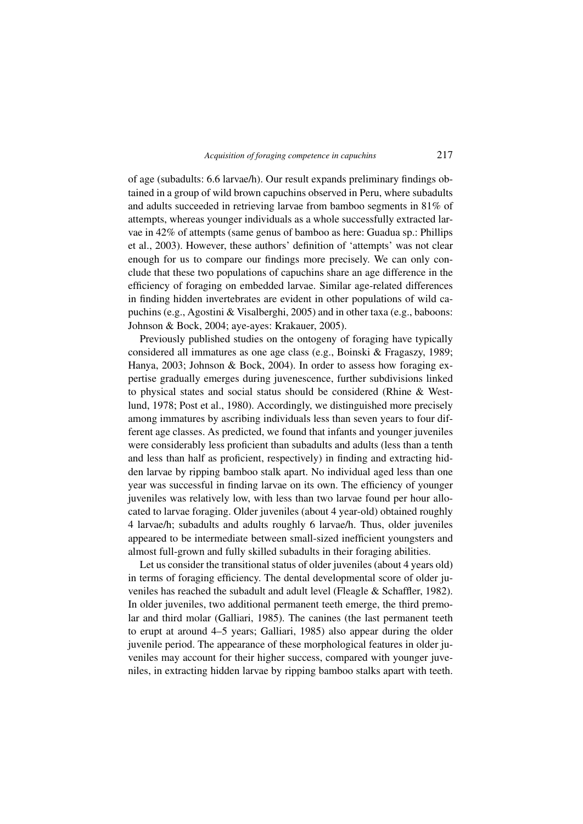of age (subadults: 6.6 larvae/h). Our result expands preliminary findings obtained in a group of wild brown capuchins observed in Peru, where subadults and adults succeeded in retrieving larvae from bamboo segments in 81% of attempts, whereas younger individuals as a whole successfully extracted larvae in 42% of attempts (same genus of bamboo as here: Guadua sp.: Phillips et al., 2003). However, these authors' definition of 'attempts' was not clear enough for us to compare our findings more precisely. We can only conclude that these two populations of capuchins share an age difference in the efficiency of foraging on embedded larvae. Similar age-related differences in finding hidden invertebrates are evident in other populations of wild capuchins (e.g., Agostini & Visalberghi, 2005) and in other taxa (e.g., baboons: Johnson & Bock, 2004; aye-ayes: Krakauer, 2005).

Previously published studies on the ontogeny of foraging have typically considered all immatures as one age class (e.g., Boinski & Fragaszy, 1989; Hanya, 2003; Johnson & Bock, 2004). In order to assess how foraging expertise gradually emerges during juvenescence, further subdivisions linked to physical states and social status should be considered (Rhine & Westlund, 1978; Post et al., 1980). Accordingly, we distinguished more precisely among immatures by ascribing individuals less than seven years to four different age classes. As predicted, we found that infants and younger juveniles were considerably less proficient than subadults and adults (less than a tenth and less than half as proficient, respectively) in finding and extracting hidden larvae by ripping bamboo stalk apart. No individual aged less than one year was successful in finding larvae on its own. The efficiency of younger juveniles was relatively low, with less than two larvae found per hour allocated to larvae foraging. Older juveniles (about 4 year-old) obtained roughly 4 larvae/h; subadults and adults roughly 6 larvae/h. Thus, older juveniles appeared to be intermediate between small-sized inefficient youngsters and almost full-grown and fully skilled subadults in their foraging abilities.

Let us consider the transitional status of older juveniles (about 4 years old) in terms of foraging efficiency. The dental developmental score of older juveniles has reached the subadult and adult level (Fleagle & Schaffler, 1982). In older juveniles, two additional permanent teeth emerge, the third premolar and third molar (Galliari, 1985). The canines (the last permanent teeth to erupt at around 4–5 years; Galliari, 1985) also appear during the older juvenile period. The appearance of these morphological features in older juveniles may account for their higher success, compared with younger juveniles, in extracting hidden larvae by ripping bamboo stalks apart with teeth.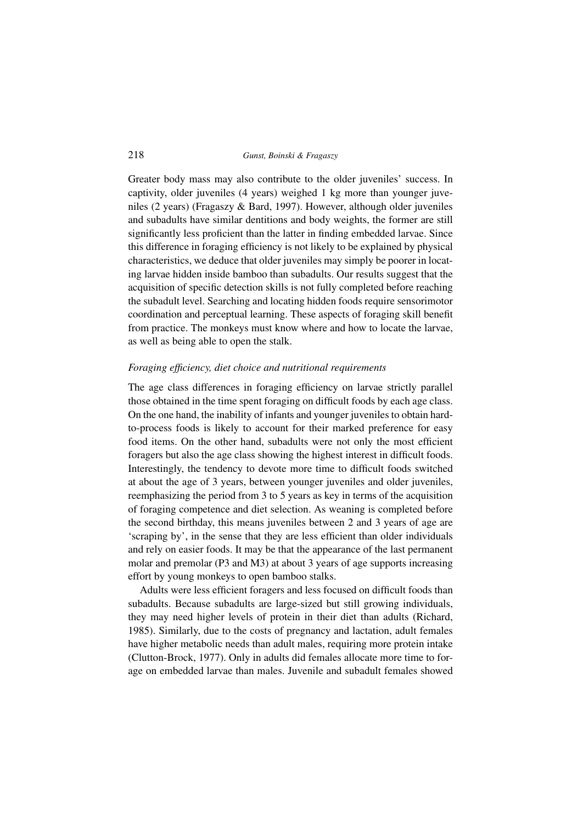Greater body mass may also contribute to the older juveniles' success. In captivity, older juveniles (4 years) weighed 1 kg more than younger juveniles (2 years) (Fragaszy & Bard, 1997). However, although older juveniles and subadults have similar dentitions and body weights, the former are still significantly less proficient than the latter in finding embedded larvae. Since this difference in foraging efficiency is not likely to be explained by physical characteristics, we deduce that older juveniles may simply be poorer in locating larvae hidden inside bamboo than subadults. Our results suggest that the acquisition of specific detection skills is not fully completed before reaching the subadult level. Searching and locating hidden foods require sensorimotor coordination and perceptual learning. These aspects of foraging skill benefit from practice. The monkeys must know where and how to locate the larvae, as well as being able to open the stalk.

# Foraging efficiency, diet choice and nutritional requirements

The age class differences in foraging efficiency on larvae strictly parallel those obtained in the time spent foraging on difficult foods by each age class. On the one hand, the inability of infants and younger juveniles to obtain hardto-process foods is likely to account for their marked preference for easy food items. On the other hand, subadults were not only the most efficient foragers but also the age class showing the highest interest in difficult foods. Interestingly, the tendency to devote more time to difficult foods switched at about the age of 3 years, between younger juveniles and older juveniles, reemphasizing the period from 3 to 5 years as key in terms of the acquisition of foraging competence and diet selection. As weaning is completed before the second birthday, this means juveniles between 2 and 3 years of age are 'scraping by', in the sense that they are less efficient than older individuals and rely on easier foods. It may be that the appearance of the last permanent molar and premolar (P3 and M3) at about 3 years of age supports increasing effort by young monkeys to open bamboo stalks.

Adults were less efficient foragers and less focused on difficult foods than subadults. Because subadults are large-sized but still growing individuals, they may need higher levels of protein in their diet than adults (Richard, 1985). Similarly, due to the costs of pregnancy and lactation, adult females have higher metabolic needs than adult males, requiring more protein intake (Clutton-Brock, 1977). Only in adults did females allocate more time to forage on embedded larvae than males. Juvenile and subadult females showed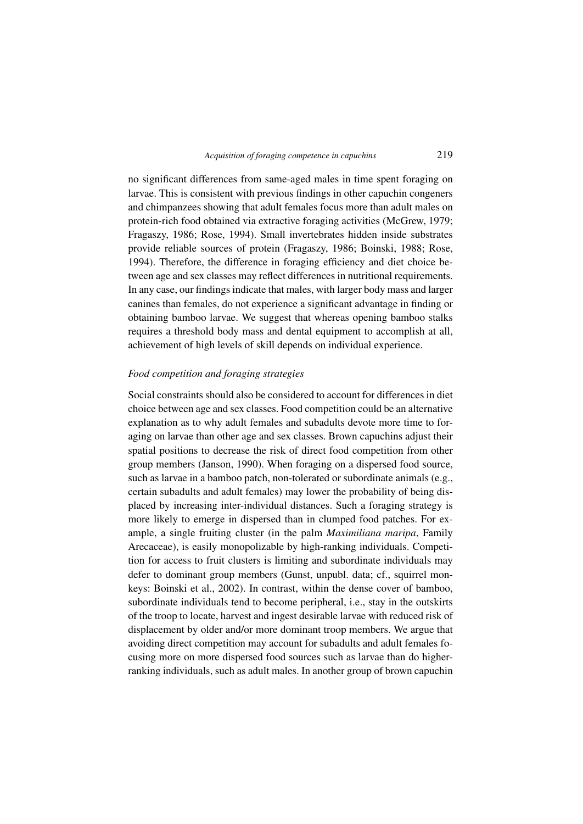no significant differences from same-aged males in time spent foraging on larvae. This is consistent with previous findings in other capuchin congeners and chimpanzees showing that adult females focus more than adult males on protein-rich food obtained via extractive foraging activities (McGrew, 1979; Fragaszy, 1986; Rose, 1994). Small invertebrates hidden inside substrates provide reliable sources of protein (Fragaszy, 1986; Boinski, 1988; Rose, 1994). Therefore, the difference in foraging efficiency and diet choice between age and sex classes may reflect differences in nutritional requirements. In any case, our findings indicate that males, with larger body mass and larger canines than females, do not experience a significant advantage in finding or obtaining bamboo larvae. We suggest that whereas opening bamboo stalks requires a threshold body mass and dental equipment to accomplish at all, achievement of high levels of skill depends on individual experience.

# Food competition and foraging strategies

Social constraints should also be considered to account for differences in diet choice between age and sex classes. Food competition could be an alternative explanation as to why adult females and subadults devote more time to foraging on larvae than other age and sex classes. Brown capuchins adjust their spatial positions to decrease the risk of direct food competition from other group members (Janson, 1990). When foraging on a dispersed food source, such as larvae in a bamboo patch, non-tolerated or subordinate animals (e.g., certain subadults and adult females) may lower the probability of being displaced by increasing inter-individual distances. Such a foraging strategy is more likely to emerge in dispersed than in clumped food patches. For example, a single fruiting cluster (in the palm *Maximiliana maripa*, Family Arecaceae), is easily monopolizable by high-ranking individuals. Competition for access to fruit clusters is limiting and subordinate individuals may defer to dominant group members (Gunst, unpubl. data; cf., squirrel monkeys: Boinski et al., 2002). In contrast, within the dense cover of bamboo. subordinate individuals tend to become peripheral, *i.e.*, stay in the outskirts of the troop to locate, harvest and ingest desirable larvae with reduced risk of displacement by older and/or more dominant troop members. We argue that avoiding direct competition may account for subadults and adult females focusing more on more dispersed food sources such as larvae than do higherranking individuals, such as adult males. In another group of brown capuchin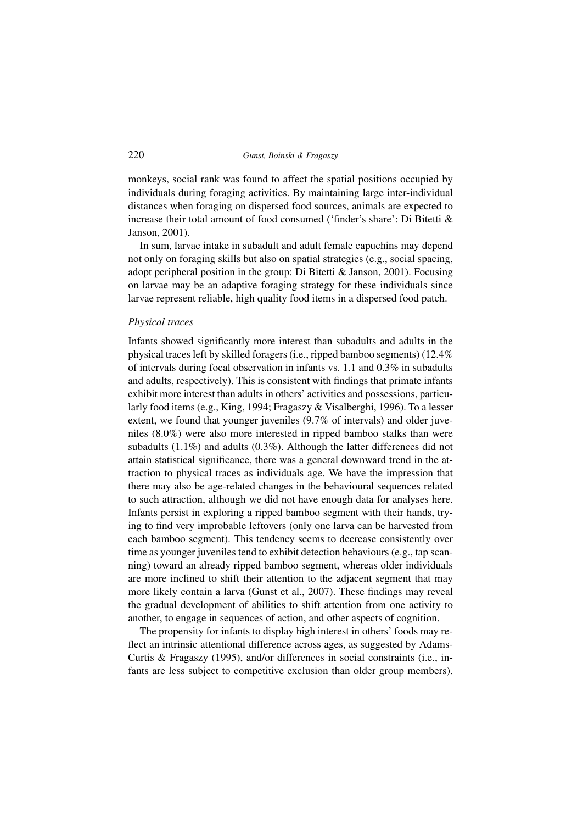monkeys, social rank was found to affect the spatial positions occupied by individuals during foraging activities. By maintaining large inter-individual distances when foraging on dispersed food sources, animals are expected to increase their total amount of food consumed ('finder's share': Di Bitetti & Janson, 2001).

In sum, larvae intake in subadult and adult female capuchins may depend not only on foraging skills but also on spatial strategies (e.g., social spacing, adopt peripheral position in the group: Di Bitetti & Janson, 2001). Focusing on larvae may be an adaptive foraging strategy for these individuals since larvae represent reliable, high quality food items in a dispersed food patch.

## Physical traces

Infants showed significantly more interest than subadults and adults in the physical traces left by skilled foragers (i.e., ripped bamboo segments) (12.4% of intervals during focal observation in infants vs. 1.1 and  $0.3\%$  in subadults and adults, respectively). This is consistent with findings that primate infants exhibit more interest than adults in others' activities and possessions, particularly food items (e.g., King, 1994; Fragaszy & Visalberghi, 1996). To a lesser extent, we found that younger juveniles (9.7% of intervals) and older juveniles (8.0%) were also more interested in ripped bamboo stalks than were subadults  $(1.1\%)$  and adults  $(0.3\%)$ . Although the latter differences did not attain statistical significance, there was a general downward trend in the attraction to physical traces as individuals age. We have the impression that there may also be age-related changes in the behavioural sequences related to such attraction, although we did not have enough data for analyses here. Infants persist in exploring a ripped bamboo segment with their hands, trying to find very improbable leftovers (only one larva can be harvested from each bamboo segment). This tendency seems to decrease consistently over time as younger juveniles tend to exhibit detection behaviours (e.g., tap scanning) toward an already ripped bamboo segment, whereas older individuals are more inclined to shift their attention to the adjacent segment that may more likely contain a larva (Gunst et al., 2007). These findings may reveal the gradual development of abilities to shift attention from one activity to another, to engage in sequences of action, and other aspects of cognition.

The propensity for infants to display high interest in others' foods may reflect an intrinsic attentional difference across ages, as suggested by Adams-Curtis & Fragaszy (1995), and/or differences in social constraints (i.e., infants are less subject to competitive exclusion than older group members).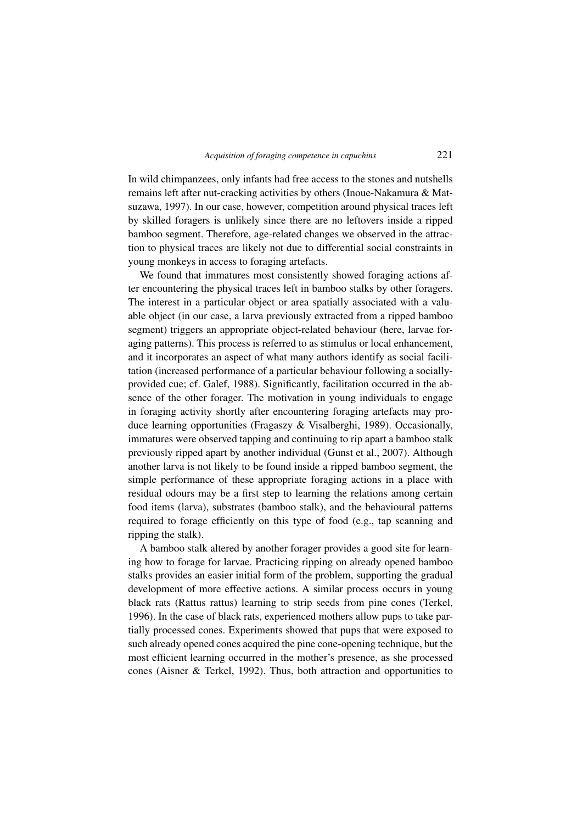In wild chimpanzees, only infants had free access to the stones and nutshells remains left after nut-cracking activities by others (Inoue-Nakamura & Matsuzawa, 1997). In our case, however, competition around physical traces left by skilled foragers is unlikely since there are no leftovers inside a ripped bamboo segment. Therefore, age-related changes we observed in the attraction to physical traces are likely not due to differential social constraints in voung monkeys in access to foraging artefacts.

We found that immatures most consistently showed foraging actions after encountering the physical traces left in bamboo stalks by other foragers. The interest in a particular object or area spatially associated with a valuable object (in our case, a larva previously extracted from a ripped bamboo segment) triggers an appropriate object-related behaviour (here, larvae foraging patterns). This process is referred to as stimulus or local enhancement, and it incorporates an aspect of what many authors identify as social facilitation (increased performance of a particular behaviour following a sociallyprovided cue; cf. Galef, 1988). Significantly, facilitation occurred in the absence of the other forager. The motivation in young individuals to engage in foraging activity shortly after encountering foraging artefacts may produce learning opportunities (Fragaszy & Visalberghi, 1989). Occasionally, immatures were observed tapping and continuing to rip apart a bamboo stalk previously ripped apart by another individual (Gunst et al., 2007). Although another larva is not likely to be found inside a ripped bamboo segment, the simple performance of these appropriate foraging actions in a place with residual odours may be a first step to learning the relations among certain food items (larva), substrates (bamboo stalk), and the behavioural patterns required to forage efficiently on this type of food (e.g., tap scanning and ripping the stalk).

A bamboo stalk altered by another forager provides a good site for learning how to forage for larvae. Practicing ripping on already opened bamboo stalks provides an easier initial form of the problem, supporting the gradual development of more effective actions. A similar process occurs in young black rats (Rattus rattus) learning to strip seeds from pine cones (Terkel, 1996). In the case of black rats, experienced mothers allow pups to take partially processed cones. Experiments showed that pups that were exposed to such already opened cones acquired the pine cone-opening technique, but the most efficient learning occurred in the mother's presence, as she processed cones (Aisner & Terkel, 1992). Thus, both attraction and opportunities to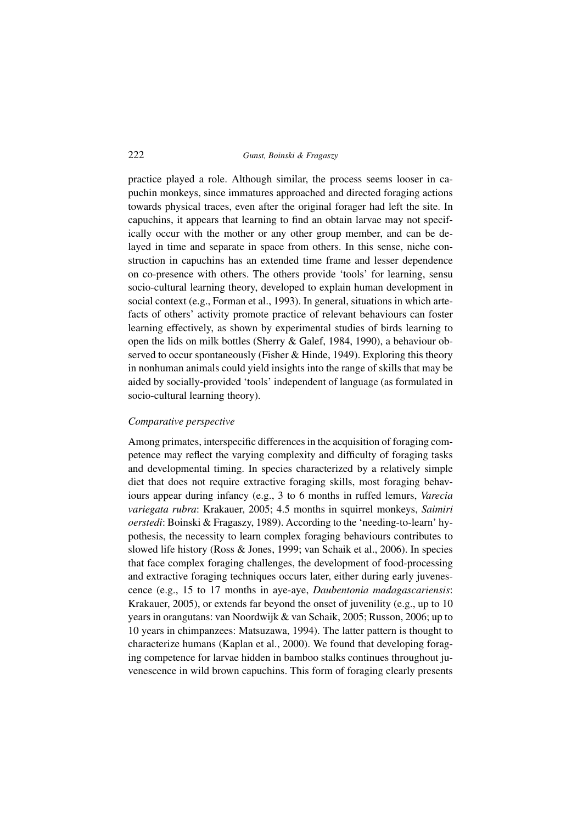practice played a role. Although similar, the process seems looser in capuchin monkeys, since immatures approached and directed foraging actions towards physical traces, even after the original forager had left the site. In capuchins, it appears that learning to find an obtain larvae may not specifically occur with the mother or any other group member, and can be delayed in time and separate in space from others. In this sense, niche construction in capuchins has an extended time frame and lesser dependence on co-presence with others. The others provide 'tools' for learning, sensu socio-cultural learning theory, developed to explain human development in social context (e.g., Forman et al., 1993). In general, situations in which artefacts of others' activity promote practice of relevant behaviours can foster learning effectively, as shown by experimental studies of birds learning to open the lids on milk bottles (Sherry & Galef, 1984, 1990), a behaviour observed to occur spontaneously (Fisher & Hinde, 1949). Exploring this theory in nonhuman animals could vield insights into the range of skills that may be aided by socially-provided 'tools' independent of language (as formulated in socio-cultural learning theory).

## Comparative perspective

Among primates, interspecific differences in the acquisition of foraging competence may reflect the varying complexity and difficulty of foraging tasks and developmental timing. In species characterized by a relatively simple diet that does not require extractive foraging skills, most foraging behaviours appear during infancy (e.g., 3 to 6 months in ruffed lemurs, Varecia variegata rubra: Krakauer, 2005; 4.5 months in squirrel monkeys, Saimiri oerstedi: Boinski & Fragaszy, 1989). According to the 'needing-to-learn' hypothesis, the necessity to learn complex foraging behaviours contributes to slowed life history (Ross & Jones, 1999; van Schaik et al., 2006). In species that face complex foraging challenges, the development of food-processing and extractive foraging techniques occurs later, either during early juvenescence (e.g., 15 to 17 months in aye-aye, Daubentonia madagascariensis: Krakauer, 2005), or extends far beyond the onset of juvenility (e.g., up to 10 years in orangutans: van Noordwijk & van Schaik, 2005; Russon, 2006; up to 10 years in chimpanzees: Matsuzawa, 1994). The latter pattern is thought to characterize humans (Kaplan et al., 2000). We found that developing foraging competence for larvae hidden in bamboo stalks continues throughout juvenescence in wild brown capuchins. This form of foraging clearly presents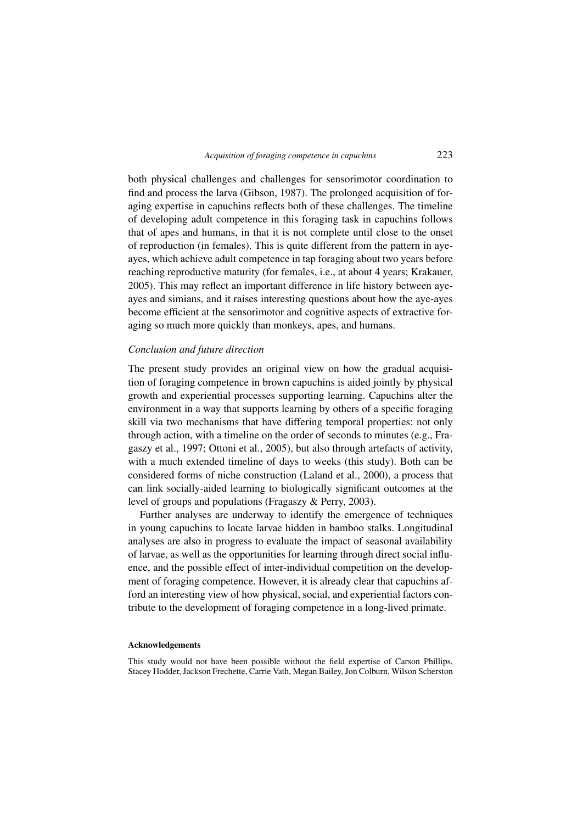both physical challenges and challenges for sensorimotor coordination to find and process the larva (Gibson, 1987). The prolonged acquisition of foraging expertise in capuchins reflects both of these challenges. The timeline of developing adult competence in this foraging task in capuchins follows that of apes and humans, in that it is not complete until close to the onset of reproduction (in females). This is quite different from the pattern in ayeayes, which achieve adult competence in tap foraging about two years before reaching reproductive maturity (for females, *i.e.*, at about 4 years; Krakauer, 2005). This may reflect an important difference in life history between ayeayes and simians, and it raises interesting questions about how the aye-ayes become efficient at the sensorimotor and cognitive aspects of extractive foraging so much more quickly than monkeys, apes, and humans.

## Conclusion and future direction

The present study provides an original view on how the gradual acquisition of foraging competence in brown capuchins is aided jointly by physical growth and experiential processes supporting learning. Capuchins alter the environment in a way that supports learning by others of a specific foraging skill via two mechanisms that have differing temporal properties: not only through action, with a timeline on the order of seconds to minutes (e.g., Fragaszy et al., 1997; Ottoni et al., 2005), but also through artefacts of activity, with a much extended timeline of days to weeks (this study). Both can be considered forms of niche construction (Laland et al., 2000), a process that can link socially-aided learning to biologically significant outcomes at the level of groups and populations (Fragaszy & Perry, 2003).

Further analyses are underway to identify the emergence of techniques in young capuchins to locate larvae hidden in bamboo stalks. Longitudinal analyses are also in progress to evaluate the impact of seasonal availability of larvae, as well as the opportunities for learning through direct social influence, and the possible effect of inter-individual competition on the development of foraging competence. However, it is already clear that capuchins afford an interesting view of how physical, social, and experiential factors contribute to the development of foraging competence in a long-lived primate.

#### **Acknowledgements**

This study would not have been possible without the field expertise of Carson Phillips, Stacey Hodder, Jackson Frechette, Carrie Vath, Megan Bailey, Jon Colburn, Wilson Scherston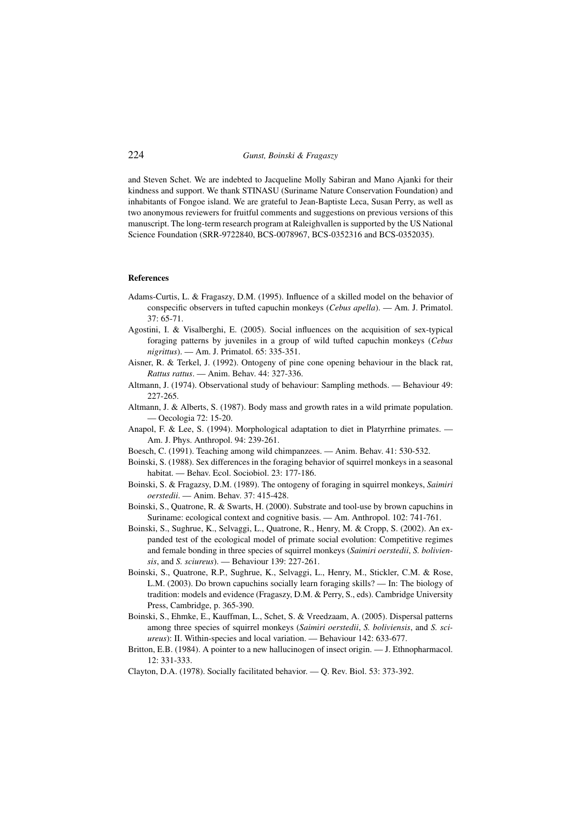and Steven Schet. We are indebted to Jacqueline Molly Sabiran and Mano Ajanki for their kindness and support. We thank STINASU (Suriname Nature Conservation Foundation) and inhabitants of Fongoe island. We are grateful to Jean-Baptiste Leca, Susan Perry, as well as two anonymous reviewers for fruitful comments and suggestions on previous versions of this manuscript. The long-term research program at Raleighvallen is supported by the US National Science Foundation (SRR-9722840, BCS-0078967, BCS-0352316 and BCS-0352035).

#### **References**

- Adams-Curtis, L. & Fragaszy, D.M. (1995). Influence of a skilled model on the behavior of conspecific observers in tufted capuchin monkeys (Cebus apella). - Am. J. Primatol.  $37:65-71.$
- Agostini, I. & Visalberghi, E. (2005). Social influences on the acquisition of sex-typical foraging patterns by juveniles in a group of wild tufted capuchin monkeys (Cebus nigrittus). - Am. J. Primatol. 65: 335-351.
- Aisner, R. & Terkel, J. (1992). Ontogeny of pine cone opening behaviour in the black rat, Rattus rattus. - Anim. Behav. 44: 327-336.
- Altmann, J. (1974). Observational study of behaviour: Sampling methods. Behaviour 49: 227-265.
- Altmann, J. & Alberts, S. (1987). Body mass and growth rates in a wild primate population. - Oecologia 72: 15-20.
- Anapol, F. & Lee, S. (1994). Morphological adaptation to diet in Platyrrhine primates.  $-$ Am. J. Phys. Anthropol. 94: 239-261.
- Boesch, C. (1991). Teaching among wild chimpanzees. Anim. Behav. 41: 530-532.
- Boinski, S. (1988). Sex differences in the foraging behavior of squirrel monkeys in a seasonal habitat. - Behav. Ecol. Sociobiol. 23: 177-186.
- Boinski, S. & Fragazsy, D.M. (1989). The ontogeny of foraging in squirrel monkeys, Saimiri oerstedii. - Anim. Behav. 37: 415-428.
- Boinski, S., Quatrone, R. & Swarts, H. (2000). Substrate and tool-use by brown capuchins in Suriname: ecological context and cognitive basis. - Am. Anthropol. 102: 741-761.
- Boinski, S., Sughrue, K., Selvaggi, L., Quatrone, R., Henry, M. & Cropp, S. (2002). An expanded test of the ecological model of primate social evolution: Competitive regimes and female bonding in three species of squirrel monkeys (Saimiri oerstedii, S. boliviensis, and S. sciureus). - Behaviour 139: 227-261.
- Boinski, S., Quatrone, R.P., Sughrue, K., Selvaggi, L., Henry, M., Stickler, C.M. & Rose, L.M. (2003). Do brown capuchins socially learn foraging skills? — In: The biology of tradition: models and evidence (Fragaszy, D.M. & Perry, S., eds). Cambridge University Press, Cambridge, p. 365-390.
- Boinski, S., Ehmke, E., Kauffman, L., Schet, S. & Vreedzaam, A. (2005). Dispersal patterns among three species of squirrel monkeys (Saimiri oerstedii, S. boliviensis, and S. sciureus): II. Within-species and local variation. - Behaviour 142: 633-677.
- Britton, E.B. (1984). A pointer to a new hallucinogen of insect origin. J. Ethnopharmacol. 12: 331-333.
- Clayton, D.A. (1978). Socially facilitated behavior. Q. Rev. Biol. 53: 373-392.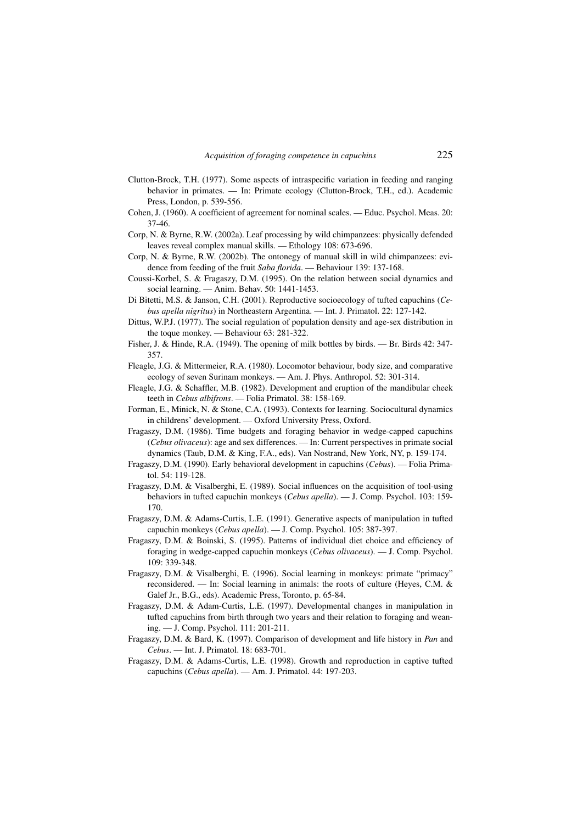- Clutton-Brock, T.H. (1977). Some aspects of intraspecific variation in feeding and ranging behavior in primates. - In: Primate ecology (Clutton-Brock, T.H., ed.). Academic Press, London, p. 539-556.
- Cohen, J. (1960). A coefficient of agreement for nominal scales. Educ. Psychol. Meas. 20:  $37-46$
- Corp, N. & Byrne, R.W. (2002a). Leaf processing by wild chimpanzees: physically defended leaves reveal complex manual skills. - Ethology 108: 673-696.
- Corp, N. & Byrne, R.W. (2002b). The ontonegy of manual skill in wild chimpanzees: evidence from feeding of the fruit Saba florida. - Behaviour 139: 137-168.
- Coussi-Korbel, S. & Fragaszy, D.M. (1995). On the relation between social dynamics and social learning. - Anim. Behav. 50: 1441-1453.
- Di Bitetti, M.S. & Janson, C.H. (2001). Reproductive socioecology of tufted capuchins (Cebus apella nigritus) in Northeastern Argentina. - Int. J. Primatol. 22: 127-142.
- Dittus, W.P.J. (1977). The social regulation of population density and age-sex distribution in the toque monkey. — Behaviour 63: 281-322.
- Fisher, J. & Hinde, R.A. (1949). The opening of milk bottles by birds. Br. Birds 42: 347-357.
- Fleagle, J.G. & Mittermeier, R.A. (1980). Locomotor behaviour, body size, and comparative ecology of seven Surinam monkeys. — Am. J. Phys. Anthropol. 52: 301-314.
- Fleagle, J.G. & Schaffler, M.B. (1982). Development and eruption of the mandibular cheek teeth in Cebus albifrons. - Folia Primatol. 38: 158-169.
- Forman, E., Minick, N. & Stone, C.A. (1993). Contexts for learning. Sociocultural dynamics in childrens' development. — Oxford University Press, Oxford.
- Fragaszy, D.M. (1986). Time budgets and foraging behavior in wedge-capped capuchins (Cebus olivaceus): age and sex differences. — In: Current perspectives in primate social dynamics (Taub, D.M. & King, F.A., eds). Van Nostrand, New York, NY, p. 159-174.
- Fragaszy, D.M. (1990). Early behavioral development in capuchins (Cebus). Folia Primatol. 54: 119-128.
- Fragaszy, D.M. & Visalberghi, E. (1989). Social influences on the acquisition of tool-using behaviors in tufted capuchin monkeys (Cebus apella). - J. Comp. Psychol. 103: 159-170.
- Fragaszy, D.M. & Adams-Curtis, L.E. (1991). Generative aspects of manipulation in tufted capuchin monkeys (Cebus apella). - J. Comp. Psychol. 105: 387-397.
- Fragaszy, D.M. & Boinski, S. (1995). Patterns of individual diet choice and efficiency of foraging in wedge-capped capuchin monkeys (Cebus olivaceus). - J. Comp. Psychol. 109: 339-348.
- Fragaszy, D.M. & Visalberghi, E. (1996). Social learning in monkeys: primate "primacy" reconsidered. — In: Social learning in animals: the roots of culture (Heyes, C.M. & Galef Jr., B.G., eds). Academic Press, Toronto, p. 65-84.
- Fragaszy, D.M. & Adam-Curtis, L.E. (1997). Developmental changes in manipulation in tufted capuchins from birth through two years and their relation to foraging and weaning. - J. Comp. Psychol. 111: 201-211.
- Fragaszy, D.M. & Bard, K. (1997). Comparison of development and life history in Pan and Cebus. - Int. J. Primatol. 18: 683-701.
- Fragaszy, D.M. & Adams-Curtis, L.E. (1998). Growth and reproduction in captive tufted capuchins (Cebus apella). - Am. J. Primatol. 44: 197-203.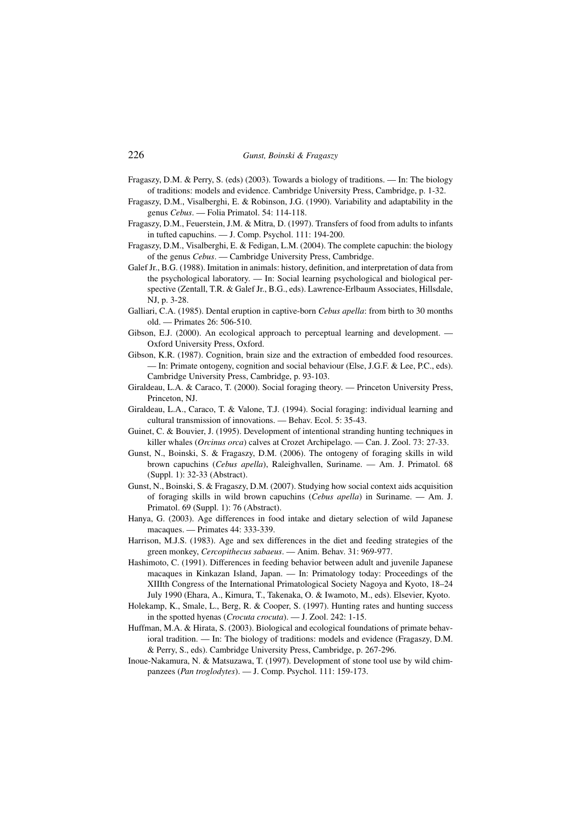- Fragaszy, D.M. & Perry, S. (eds) (2003). Towards a biology of traditions. In: The biology of traditions: models and evidence. Cambridge University Press, Cambridge, p. 1-32.
- Fragaszy, D.M., Visalberghi, E. & Robinson, J.G. (1990). Variability and adaptability in the genus Cebus. — Folia Primatol. 54: 114-118.
- Fragaszy, D.M., Feuerstein, J.M. & Mitra, D. (1997). Transfers of food from adults to infants in tufted capuchins. - J. Comp. Psychol. 111: 194-200.
- Fragaszy, D.M., Visalberghi, E. & Fedigan, L.M. (2004). The complete capuchin: the biology of the genus Cebus. - Cambridge University Press, Cambridge.
- Galef Jr., B.G. (1988). Imitation in animals: history, definition, and interpretation of data from the psychological laboratory. - In: Social learning psychological and biological perspective (Zentall, T.R. & Galef Jr., B.G., eds). Lawrence-Erlbaum Associates, Hillsdale, NJ, p. 3-28.
- Galliari, C.A. (1985). Dental eruption in captive-born Cebus apella: from birth to 30 months old. - Primates 26: 506-510.
- Gibson, E.J. (2000). An ecological approach to perceptual learning and development. Oxford University Press, Oxford.
- Gibson, K.R. (1987). Cognition, brain size and the extraction of embedded food resources. -In: Primate ontogeny, cognition and social behaviour (Else, J.G.F. & Lee, P.C., eds). Cambridge University Press, Cambridge, p. 93-103.
- Giraldeau, L.A. & Caraco, T. (2000). Social foraging theory. Princeton University Press, Princeton, NJ.
- Giraldeau, L.A., Caraco, T. & Valone, T.J. (1994). Social foraging: individual learning and cultural transmission of innovations. — Behav. Ecol. 5: 35-43.
- Guinet, C. & Bouvier, J. (1995). Development of intentional stranding hunting techniques in killer whales (Orcinus orca) calves at Crozet Archipelago. — Can. J. Zool. 73: 27-33.
- Gunst, N., Boinski, S. & Fragaszy, D.M. (2006). The ontogeny of foraging skills in wild brown capuchins (Cebus apella), Raleighvallen, Suriname. — Am. J. Primatol. 68 (Suppl. 1): 32-33 (Abstract).
- Gunst, N., Boinski, S. & Fragaszy, D.M. (2007). Studying how social context aids acquisition of foraging skills in wild brown capuchins (Cebus apella) in Suriname. - Am. J. Primatol. 69 (Suppl. 1): 76 (Abstract).
- Hanya, G. (2003). Age differences in food intake and dietary selection of wild Japanese macaques. - Primates 44: 333-339.
- Harrison, M.J.S. (1983). Age and sex differences in the diet and feeding strategies of the green monkey, Cercopithecus sabaeus. - Anim. Behav. 31: 969-977.
- Hashimoto, C. (1991). Differences in feeding behavior between adult and juvenile Japanese macaques in Kinkazan Island, Japan. - In: Primatology today: Proceedings of the XIIIth Congress of the International Primatological Society Nagoya and Kyoto, 18-24 July 1990 (Ehara, A., Kimura, T., Takenaka, O. & Iwamoto, M., eds). Elsevier, Kyoto.
- Holekamp, K., Smale, L., Berg, R. & Cooper, S. (1997). Hunting rates and hunting success in the spotted hyenas (Crocuta crocuta). - J. Zool. 242: 1-15.
- Huffman, M.A. & Hirata, S. (2003). Biological and ecological foundations of primate behavioral tradition. - In: The biology of traditions: models and evidence (Fragaszy, D.M. & Perry, S., eds). Cambridge University Press, Cambridge, p. 267-296.
- Inoue-Nakamura, N. & Matsuzawa, T. (1997). Development of stone tool use by wild chimpanzees (Pan troglodytes). - J. Comp. Psychol. 111: 159-173.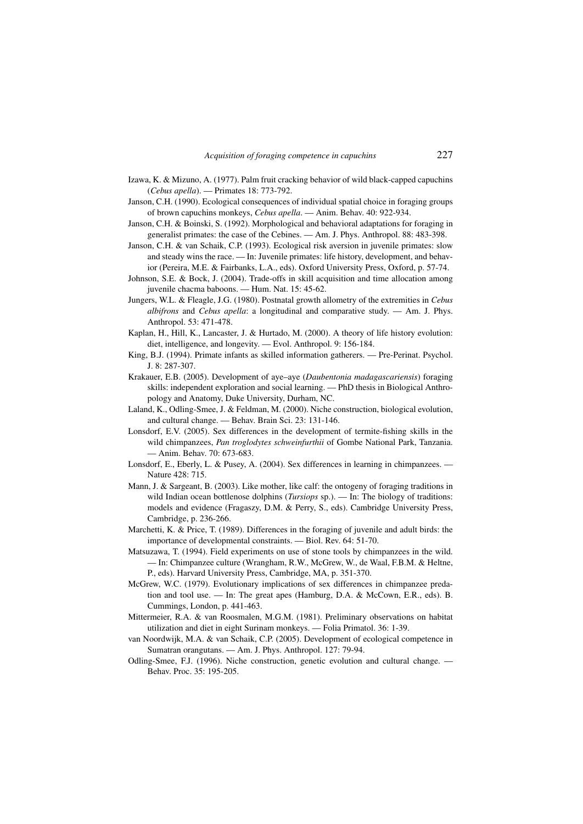- Izawa, K. & Mizuno, A. (1977). Palm fruit cracking behavior of wild black-capped capuchins (Cebus apella). - Primates 18: 773-792.
- Janson, C.H. (1990). Ecological consequences of individual spatial choice in foraging groups of brown capuchins monkeys, Cebus apella. - Anim. Behav. 40: 922-934.
- Janson, C.H. & Boinski, S. (1992). Morphological and behavioral adaptations for foraging in generalist primates: the case of the Cebines. - Am. J. Phys. Anthropol. 88: 483-398.
- Janson, C.H. & van Schaik, C.P. (1993). Ecological risk aversion in juvenile primates: slow and steady wins the race. - In: Juvenile primates: life history, development, and behavior (Pereira, M.E. & Fairbanks, L.A., eds). Oxford University Press, Oxford, p. 57-74.
- Johnson, S.E. & Bock, J. (2004). Trade-offs in skill acquisition and time allocation among juvenile chacma baboons. - Hum. Nat. 15: 45-62.
- Jungers, W.L. & Fleagle, J.G. (1980). Postnatal growth allometry of the extremities in Cebus albifrons and Cebus apella: a longitudinal and comparative study. - Am. J. Phys. Anthropol. 53: 471-478.
- Kaplan, H., Hill, K., Lancaster, J. & Hurtado, M. (2000). A theory of life history evolution: diet, intelligence, and longevity. - Evol. Anthropol. 9: 156-184.
- King, B.J. (1994). Primate infants as skilled information gatherers. Pre-Perinat. Psychol. J. 8: 287-307.
- Krakauer, E.B. (2005). Development of ave-ave (Daubentonia madagascariensis) foraging skills: independent exploration and social learning. — PhD thesis in Biological Anthropology and Anatomy, Duke University, Durham, NC.
- Laland, K., Odling-Smee, J. & Feldman, M. (2000). Niche construction, biological evolution, and cultural change. - Behav. Brain Sci. 23: 131-146.
- Lonsdorf, E.V. (2005). Sex differences in the development of termite-fishing skills in the wild chimpanzees, Pan troglodytes schweinfurthii of Gombe National Park, Tanzania. - Anim. Behav. 70: 673-683.
- Lonsdorf, E., Eberly, L. & Pusey, A. (2004). Sex differences in learning in chimpanzees. Nature 428: 715.
- Mann, J. & Sargeant, B. (2003). Like mother, like calf: the ontogeny of foraging traditions in wild Indian ocean bottlenose dolphins (*Tursiops* sp.). — In: The biology of traditions: models and evidence (Fragaszy, D.M. & Perry, S., eds). Cambridge University Press, Cambridge, p. 236-266.
- Marchetti, K. & Price, T. (1989). Differences in the foraging of juvenile and adult birds: the importance of developmental constraints. - Biol. Rev. 64: 51-70.
- Matsuzawa, T. (1994). Field experiments on use of stone tools by chimpanzees in the wild. - In: Chimpanzee culture (Wrangham, R.W., McGrew, W., de Waal, F.B.M. & Heltne, P., eds). Harvard University Press, Cambridge, MA, p. 351-370.
- McGrew, W.C. (1979). Evolutionary implications of sex differences in chimpanzee predation and tool use. - In: The great apes (Hamburg, D.A. & McCown, E.R., eds). B. Cummings, London, p. 441-463.
- Mittermeier, R.A. & van Roosmalen, M.G.M. (1981). Preliminary observations on habitat utilization and diet in eight Surinam monkeys. - Folia Primatol. 36: 1-39.
- van Noordwijk, M.A. & van Schaik, C.P. (2005). Development of ecological competence in Sumatran orangutans. - Am. J. Phys. Anthropol. 127: 79-94.
- Odling-Smee, F.J. (1996). Niche construction, genetic evolution and cultural change. -Behav. Proc. 35: 195-205.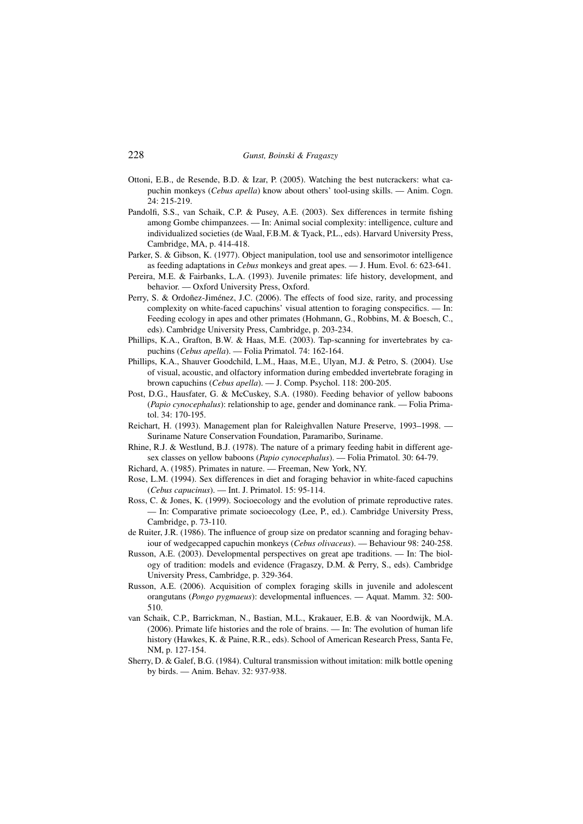- Ottoni, E.B., de Resende, B.D. & Izar, P. (2005). Watching the best nutcrackers: what capuchin monkeys (Cebus apella) know about others' tool-using skills. - Anim. Cogn. 24: 215-219.
- Pandolfi, S.S., van Schaik, C.P. & Pusey, A.E. (2003). Sex differences in termite fishing among Gombe chimpanzees. — In: Animal social complexity: intelligence, culture and individualized societies (de Waal, F.B.M. & Tyack, P.L., eds). Harvard University Press, Cambridge, MA, p. 414-418.
- Parker, S. & Gibson, K. (1977). Object manipulation, tool use and sensorimotor intelligence as feeding adaptations in *Cebus* monkeys and great apes. - J. Hum. Evol. 6: 623-641.
- Pereira, M.E. & Fairbanks, L.A. (1993). Juvenile primates: life history, development, and behavior. - Oxford University Press, Oxford.
- Perry, S. & Ordoñez-Jiménez, J.C. (2006). The effects of food size, rarity, and processing complexity on white-faced capuchins' visual attention to foraging conspecifics. - In: Feeding ecology in apes and other primates (Hohmann, G., Robbins, M. & Boesch, C., eds). Cambridge University Press, Cambridge, p. 203-234.
- Phillips, K.A., Grafton, B.W. & Haas, M.E. (2003). Tap-scanning for invertebrates by capuchins (Cebus apella). - Folia Primatol. 74: 162-164.
- Phillips, K.A., Shauver Goodchild, L.M., Haas, M.E., Ulyan, M.J. & Petro, S. (2004). Use of visual, acoustic, and olfactory information during embedded invertebrate foraging in brown capuchins (Cebus apella). - J. Comp. Psychol. 118: 200-205.
- Post, D.G., Hausfater, G. & McCuskey, S.A. (1980). Feeding behavior of yellow baboons (Papio cynocephalus): relationship to age, gender and dominance rank. - Folia Primatol. 34: 170-195.
- Reichart, H. (1993). Management plan for Raleighvallen Nature Preserve, 1993–1998. Suriname Nature Conservation Foundation, Paramaribo, Suriname.
- Rhine, R.J. & Westlund, B.J. (1978). The nature of a primary feeding habit in different agesex classes on yellow baboons (Papio cynocephalus). - Folia Primatol. 30: 64-79.
- Richard, A. (1985). Primates in nature. Freeman, New York, NY.
- Rose, L.M. (1994). Sex differences in diet and foraging behavior in white-faced capuchins (Cebus capucinus). - Int. J. Primatol. 15: 95-114.
- Ross, C. & Jones, K. (1999). Socioecology and the evolution of primate reproductive rates. - In: Comparative primate socioecology (Lee, P., ed.). Cambridge University Press, Cambridge, p. 73-110.
- de Ruiter, J.R. (1986). The influence of group size on predator scanning and foraging behaviour of wedgecapped capuchin monkeys (Cebus olivaceus). - Behaviour 98: 240-258.
- Russon, A.E. (2003). Developmental perspectives on great ape traditions. In: The biology of tradition: models and evidence (Fragaszy, D.M. & Perry, S., eds). Cambridge University Press, Cambridge, p. 329-364.
- Russon, A.E. (2006). Acquisition of complex foraging skills in juvenile and adolescent orangutans (Pongo pygmaeus): developmental influences. - Aquat. Mamm. 32: 500-510.
- van Schaik, C.P., Barrickman, N., Bastian, M.L., Krakauer, E.B. & van Noordwijk, M.A. (2006). Primate life histories and the role of brains. — In: The evolution of human life history (Hawkes, K. & Paine, R.R., eds). School of American Research Press, Santa Fe, NM, p. 127-154.
- Sherry, D. & Galef, B.G. (1984). Cultural transmission without imitation: milk bottle opening by birds. - Anim. Behav. 32: 937-938.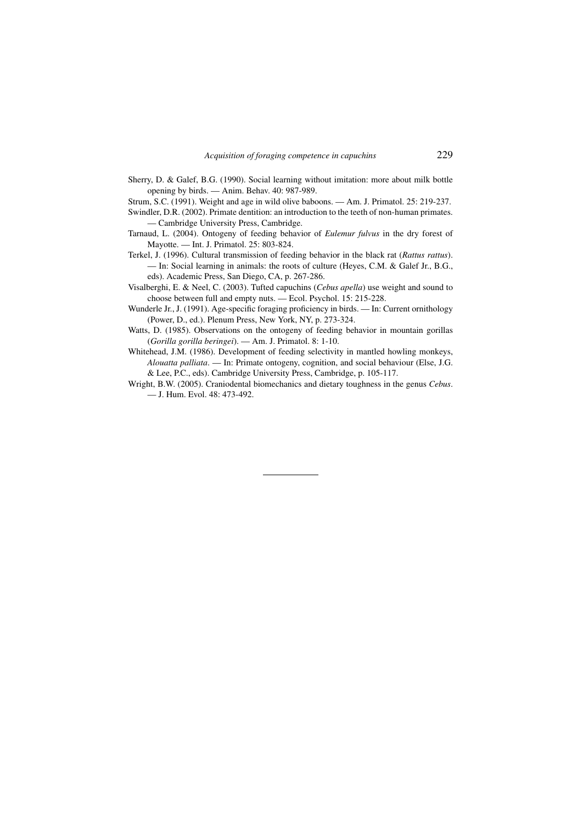- Sherry, D. & Galef, B.G. (1990). Social learning without imitation: more about milk bottle opening by birds. - Anim. Behav. 40: 987-989.
- Strum, S.C. (1991). Weight and age in wild olive baboons. Am. J. Primatol. 25: 219-237.
- Swindler, D.R. (2002). Primate dentition: an introduction to the teeth of non-human primates. - Cambridge University Press, Cambridge.
- Tarnaud, L. (2004). Ontogeny of feeding behavior of *Eulemur fulvus* in the dry forest of Mayotte. - Int. J. Primatol. 25: 803-824.
- Terkel, J. (1996). Cultural transmission of feeding behavior in the black rat (Rattus rattus). - In: Social learning in animals: the roots of culture (Heyes, C.M. & Galef Jr., B.G., eds). Academic Press, San Diego, CA, p. 267-286.
- Visalberghi, E. & Neel, C. (2003). Tufted capuchins (Cebus apella) use weight and sound to choose between full and empty nuts. - Ecol. Psychol. 15: 215-228.
- Wunderle Jr., J. (1991). Age-specific foraging proficiency in birds. In: Current ornithology (Power, D., ed.). Plenum Press, New York, NY, p. 273-324.
- Watts, D. (1985). Observations on the ontogeny of feeding behavior in mountain gorillas (Gorilla gorilla beringei). - Am. J. Primatol. 8: 1-10.
- Whitehead, J.M. (1986). Development of feeding selectivity in mantled howling monkeys, Alouatta palliata. - In: Primate ontogeny, cognition, and social behaviour (Else, J.G. & Lee, P.C., eds). Cambridge University Press, Cambridge, p. 105-117.
- Wright, B.W. (2005). Craniodental biomechanics and dietary toughness in the genus Cebus. - J. Hum. Evol. 48: 473-492.